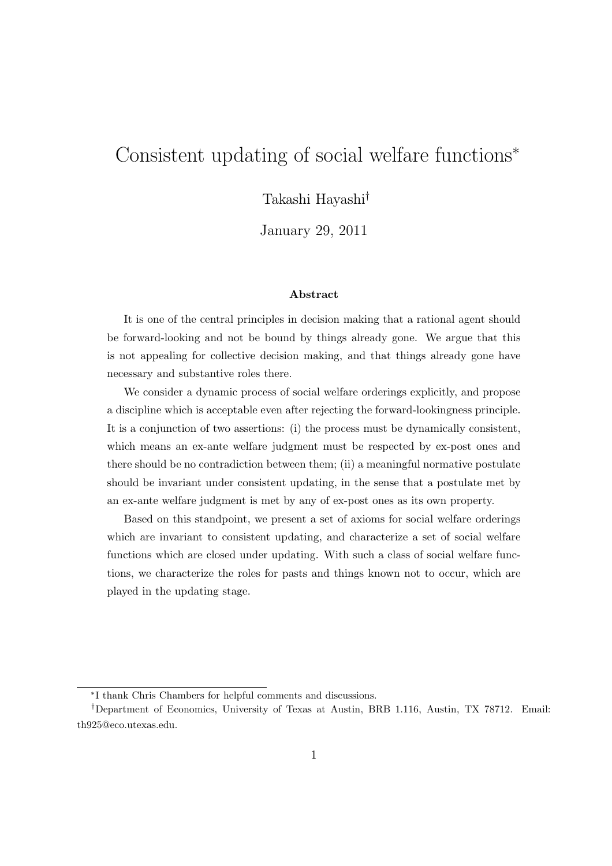# Consistent updating of social welfare functions*<sup>∗</sup>*

Takashi Hayashi*†*

January 29, 2011

#### **Abstract**

It is one of the central principles in decision making that a rational agent should be forward-looking and not be bound by things already gone. We argue that this is not appealing for collective decision making, and that things already gone have necessary and substantive roles there.

We consider a dynamic process of social welfare orderings explicitly, and propose a discipline which is acceptable even after rejecting the forward-lookingness principle. It is a conjunction of two assertions: (i) the process must be dynamically consistent, which means an ex-ante welfare judgment must be respected by ex-post ones and there should be no contradiction between them; (ii) a meaningful normative postulate should be invariant under consistent updating, in the sense that a postulate met by an ex-ante welfare judgment is met by any of ex-post ones as its own property.

Based on this standpoint, we present a set of axioms for social welfare orderings which are invariant to consistent updating, and characterize a set of social welfare functions which are closed under updating. With such a class of social welfare functions, we characterize the roles for pasts and things known not to occur, which are played in the updating stage.

*<sup>∗</sup>* I thank Chris Chambers for helpful comments and discussions.

*<sup>†</sup>*Department of Economics, University of Texas at Austin, BRB 1.116, Austin, TX 78712. Email: th925@eco.utexas.edu.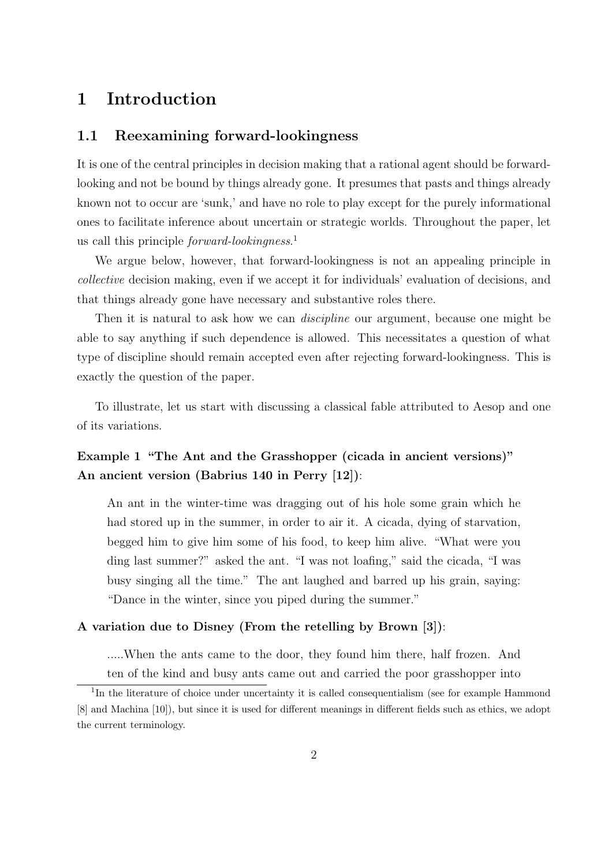# **1 Introduction**

## **1.1 Reexamining forward-lookingness**

It is one of the central principles in decision making that a rational agent should be forwardlooking and not be bound by things already gone. It presumes that pasts and things already known not to occur are 'sunk,' and have no role to play except for the purely informational ones to facilitate inference about uncertain or strategic worlds. Throughout the paper, let us call this principle *forward-lookingness*. 1

We argue below, however, that forward-lookingness is not an appealing principle in *collective* decision making, even if we accept it for individuals' evaluation of decisions, and that things already gone have necessary and substantive roles there.

Then it is natural to ask how we can *discipline* our argument, because one might be able to say anything if such dependence is allowed. This necessitates a question of what type of discipline should remain accepted even after rejecting forward-lookingness. This is exactly the question of the paper.

To illustrate, let us start with discussing a classical fable attributed to Aesop and one of its variations.

## **Example 1 "The Ant and the Grasshopper (cicada in ancient versions)" An ancient version (Babrius 140 in Perry [12])**:

An ant in the winter-time was dragging out of his hole some grain which he had stored up in the summer, in order to air it. A cicada, dying of starvation, begged him to give him some of his food, to keep him alive. "What were you ding last summer?" asked the ant. "I was not loafing," said the cicada, "I was busy singing all the time." The ant laughed and barred up his grain, saying: "Dance in the winter, since you piped during the summer."

#### **A variation due to Disney (From the retelling by Brown [3])**:

.....When the ants came to the door, they found him there, half frozen. And ten of the kind and busy ants came out and carried the poor grasshopper into

<sup>&</sup>lt;sup>1</sup>In the literature of choice under uncertainty it is called consequentialism (see for example Hammond [8] and Machina [10]), but since it is used for different meanings in different fields such as ethics, we adopt the current terminology.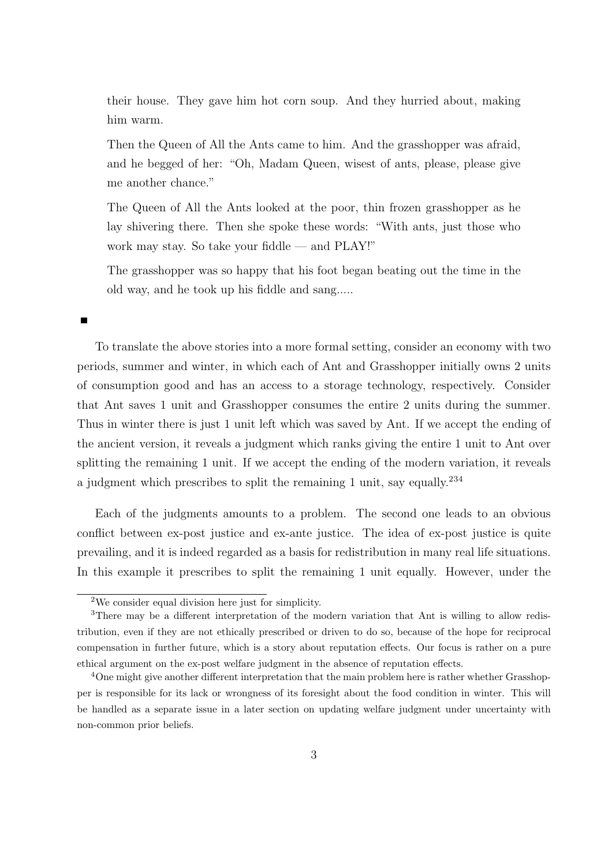their house. They gave him hot corn soup. And they hurried about, making him warm.

Then the Queen of All the Ants came to him. And the grasshopper was afraid, and he begged of her: "Oh, Madam Queen, wisest of ants, please, please give me another chance."

The Queen of All the Ants looked at the poor, thin frozen grasshopper as he lay shivering there. Then she spoke these words: "With ants, just those who work may stay. So take your fiddle — and PLAY!"

The grasshopper was so happy that his foot began beating out the time in the old way, and he took up his fiddle and sang.....

To translate the above stories into a more formal setting, consider an economy with two periods, summer and winter, in which each of Ant and Grasshopper initially owns 2 units of consumption good and has an access to a storage technology, respectively. Consider that Ant saves 1 unit and Grasshopper consumes the entire 2 units during the summer. Thus in winter there is just 1 unit left which was saved by Ant. If we accept the ending of the ancient version, it reveals a judgment which ranks giving the entire 1 unit to Ant over splitting the remaining 1 unit. If we accept the ending of the modern variation, it reveals a judgment which prescribes to split the remaining 1 unit, say equally.<sup>234</sup>

Each of the judgments amounts to a problem. The second one leads to an obvious conflict between ex-post justice and ex-ante justice. The idea of ex-post justice is quite prevailing, and it is indeed regarded as a basis for redistribution in many real life situations. In this example it prescribes to split the remaining 1 unit equally. However, under the

 $2$ We consider equal division here just for simplicity.

<sup>&</sup>lt;sup>3</sup>There may be a different interpretation of the modern variation that Ant is willing to allow redistribution, even if they are not ethically prescribed or driven to do so, because of the hope for reciprocal compensation in further future, which is a story about reputation effects. Our focus is rather on a pure ethical argument on the ex-post welfare judgment in the absence of reputation effects.

<sup>4</sup>One might give another different interpretation that the main problem here is rather whether Grasshopper is responsible for its lack or wrongness of its foresight about the food condition in winter. This will be handled as a separate issue in a later section on updating welfare judgment under uncertainty with non-common prior beliefs.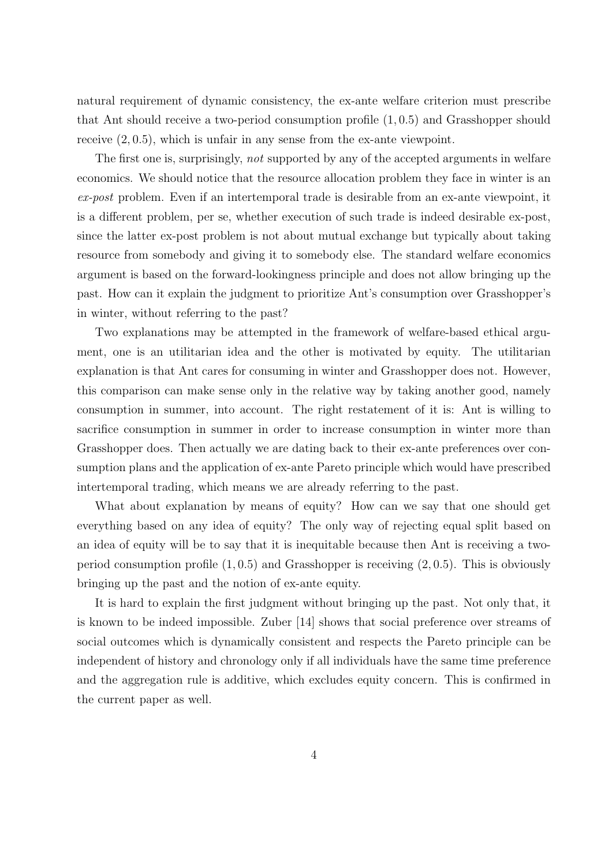natural requirement of dynamic consistency, the ex-ante welfare criterion must prescribe that Ant should receive a two-period consumption profile (1*,* 0*.*5) and Grasshopper should receive (2*,* 0*.*5), which is unfair in any sense from the ex-ante viewpoint.

The first one is, surprisingly, *not* supported by any of the accepted arguments in welfare economics. We should notice that the resource allocation problem they face in winter is an *ex-post* problem. Even if an intertemporal trade is desirable from an ex-ante viewpoint, it is a different problem, per se, whether execution of such trade is indeed desirable ex-post, since the latter ex-post problem is not about mutual exchange but typically about taking resource from somebody and giving it to somebody else. The standard welfare economics argument is based on the forward-lookingness principle and does not allow bringing up the past. How can it explain the judgment to prioritize Ant's consumption over Grasshopper's in winter, without referring to the past?

Two explanations may be attempted in the framework of welfare-based ethical argument, one is an utilitarian idea and the other is motivated by equity. The utilitarian explanation is that Ant cares for consuming in winter and Grasshopper does not. However, this comparison can make sense only in the relative way by taking another good, namely consumption in summer, into account. The right restatement of it is: Ant is willing to sacrifice consumption in summer in order to increase consumption in winter more than Grasshopper does. Then actually we are dating back to their ex-ante preferences over consumption plans and the application of ex-ante Pareto principle which would have prescribed intertemporal trading, which means we are already referring to the past.

What about explanation by means of equity? How can we say that one should get everything based on any idea of equity? The only way of rejecting equal split based on an idea of equity will be to say that it is inequitable because then Ant is receiving a twoperiod consumption profile (1*,* 0*.*5) and Grasshopper is receiving (2*,* 0*.*5). This is obviously bringing up the past and the notion of ex-ante equity.

It is hard to explain the first judgment without bringing up the past. Not only that, it is known to be indeed impossible. Zuber [14] shows that social preference over streams of social outcomes which is dynamically consistent and respects the Pareto principle can be independent of history and chronology only if all individuals have the same time preference and the aggregation rule is additive, which excludes equity concern. This is confirmed in the current paper as well.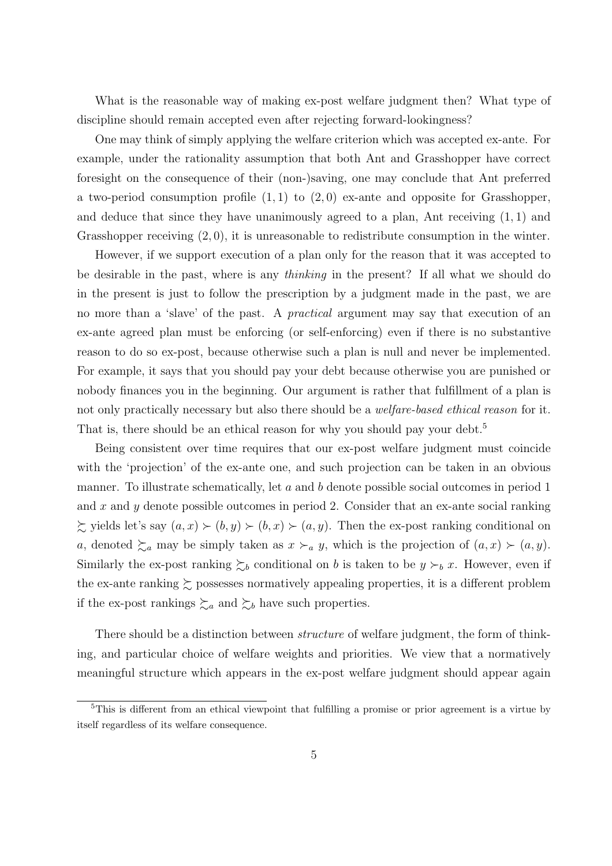What is the reasonable way of making ex-post welfare judgment then? What type of discipline should remain accepted even after rejecting forward-lookingness?

One may think of simply applying the welfare criterion which was accepted ex-ante. For example, under the rationality assumption that both Ant and Grasshopper have correct foresight on the consequence of their (non-)saving, one may conclude that Ant preferred a two-period consumption profile (1*,* 1) to (2*,* 0) ex-ante and opposite for Grasshopper, and deduce that since they have unanimously agreed to a plan, Ant receiving (1*,* 1) and Grasshopper receiving (2*,* 0), it is unreasonable to redistribute consumption in the winter.

However, if we support execution of a plan only for the reason that it was accepted to be desirable in the past, where is any *thinking* in the present? If all what we should do in the present is just to follow the prescription by a judgment made in the past, we are no more than a 'slave' of the past. A *practical* argument may say that execution of an ex-ante agreed plan must be enforcing (or self-enforcing) even if there is no substantive reason to do so ex-post, because otherwise such a plan is null and never be implemented. For example, it says that you should pay your debt because otherwise you are punished or nobody finances you in the beginning. Our argument is rather that fulfillment of a plan is not only practically necessary but also there should be a *welfare-based ethical reason* for it. That is, there should be an ethical reason for why you should pay your debt.<sup>5</sup>

Being consistent over time requires that our ex-post welfare judgment must coincide with the 'projection' of the ex-ante one, and such projection can be taken in an obvious manner. To illustrate schematically, let *a* and *b* denote possible social outcomes in period 1 and *x* and *y* denote possible outcomes in period 2. Consider that an ex-ante social ranking  $\sum$  yields let's say  $(a, x) \succ (b, y) \succ (b, x) \succ (a, y)$ . Then the ex-post ranking conditional on *a*, denoted  $\succsim_a$  may be simply taken as  $x \succ_a y$ , which is the projection of  $(a, x) \succ (a, y)$ . Similarly the ex-post ranking  $\succsim_b$  conditional on *b* is taken to be  $y \succ_b x$ . However, even if the ex-ante ranking  $\succsim$  possesses normatively appealing properties, it is a different problem if the ex-post rankings  $\succsim_a$  and  $\succsim_b$  have such properties.

There should be a distinction between *structure* of welfare judgment, the form of thinking, and particular choice of welfare weights and priorities. We view that a normatively meaningful structure which appears in the ex-post welfare judgment should appear again

<sup>5</sup>This is different from an ethical viewpoint that fulfilling a promise or prior agreement is a virtue by itself regardless of its welfare consequence.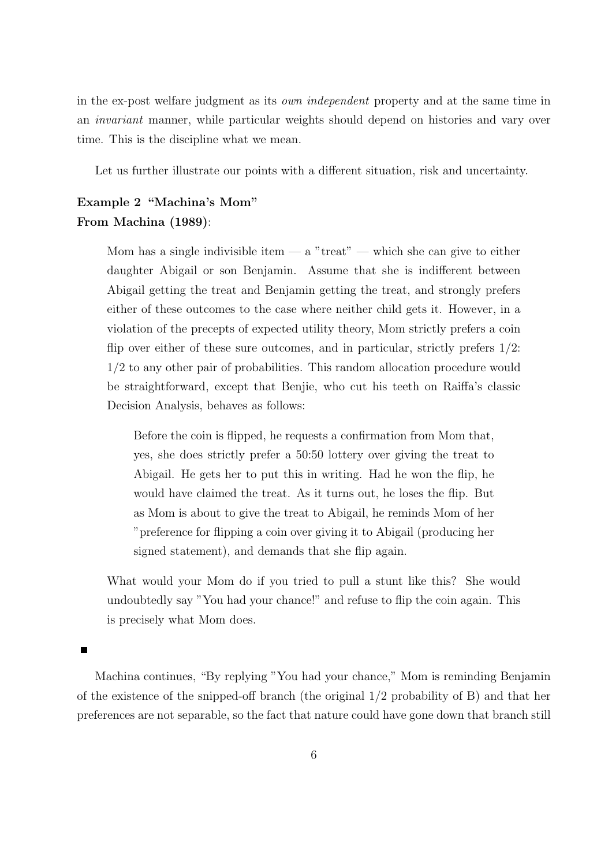in the ex-post welfare judgment as its *own independent* property and at the same time in an *invariant* manner, while particular weights should depend on histories and vary over time. This is the discipline what we mean.

Let us further illustrate our points with a different situation, risk and uncertainty.

## **Example 2 "Machina's Mom" From Machina (1989)**:

Mom has a single indivisible item  $-$  a "treat"  $-$  which she can give to either daughter Abigail or son Benjamin. Assume that she is indifferent between Abigail getting the treat and Benjamin getting the treat, and strongly prefers either of these outcomes to the case where neither child gets it. However, in a violation of the precepts of expected utility theory, Mom strictly prefers a coin flip over either of these sure outcomes, and in particular, strictly prefers 1/2: 1/2 to any other pair of probabilities. This random allocation procedure would be straightforward, except that Benjie, who cut his teeth on Raiffa's classic Decision Analysis, behaves as follows:

Before the coin is flipped, he requests a confirmation from Mom that, yes, she does strictly prefer a 50:50 lottery over giving the treat to Abigail. He gets her to put this in writing. Had he won the flip, he would have claimed the treat. As it turns out, he loses the flip. But as Mom is about to give the treat to Abigail, he reminds Mom of her "preference for flipping a coin over giving it to Abigail (producing her signed statement), and demands that she flip again.

What would your Mom do if you tried to pull a stunt like this? She would undoubtedly say "You had your chance!" and refuse to flip the coin again. This is precisely what Mom does.

Machina continues, "By replying "You had your chance," Mom is reminding Benjamin of the existence of the snipped-off branch (the original 1/2 probability of B) and that her preferences are not separable, so the fact that nature could have gone down that branch still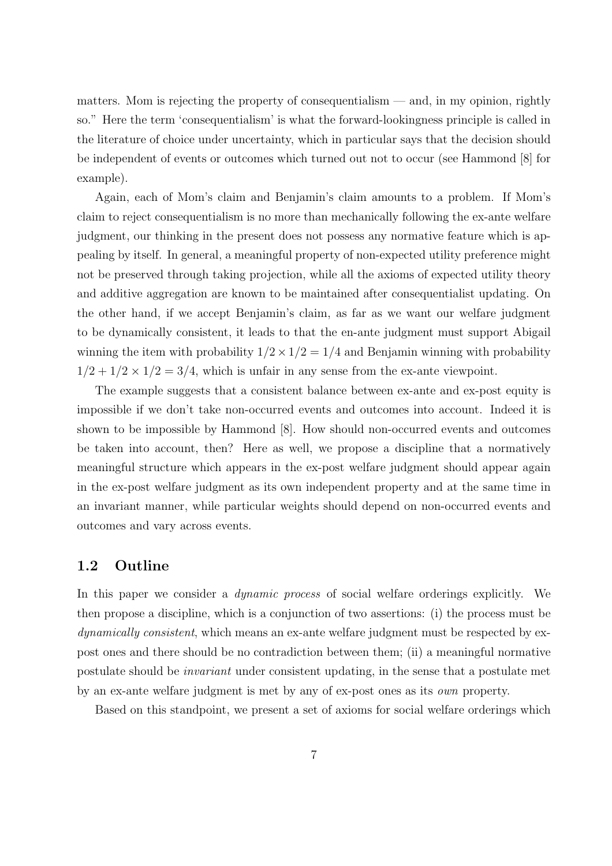matters. Mom is rejecting the property of consequentialism  $-$  and, in my opinion, rightly so." Here the term 'consequentialism' is what the forward-lookingness principle is called in the literature of choice under uncertainty, which in particular says that the decision should be independent of events or outcomes which turned out not to occur (see Hammond [8] for example).

Again, each of Mom's claim and Benjamin's claim amounts to a problem. If Mom's claim to reject consequentialism is no more than mechanically following the ex-ante welfare judgment, our thinking in the present does not possess any normative feature which is appealing by itself. In general, a meaningful property of non-expected utility preference might not be preserved through taking projection, while all the axioms of expected utility theory and additive aggregation are known to be maintained after consequentialist updating. On the other hand, if we accept Benjamin's claim, as far as we want our welfare judgment to be dynamically consistent, it leads to that the en-ante judgment must support Abigail winning the item with probability  $1/2 \times 1/2 = 1/4$  and Benjamin winning with probability  $1/2 + 1/2 \times 1/2 = 3/4$ , which is unfair in any sense from the ex-ante viewpoint.

The example suggests that a consistent balance between ex-ante and ex-post equity is impossible if we don't take non-occurred events and outcomes into account. Indeed it is shown to be impossible by Hammond [8]. How should non-occurred events and outcomes be taken into account, then? Here as well, we propose a discipline that a normatively meaningful structure which appears in the ex-post welfare judgment should appear again in the ex-post welfare judgment as its own independent property and at the same time in an invariant manner, while particular weights should depend on non-occurred events and outcomes and vary across events.

### **1.2 Outline**

In this paper we consider a *dynamic process* of social welfare orderings explicitly. We then propose a discipline, which is a conjunction of two assertions: (i) the process must be *dynamically consistent*, which means an ex-ante welfare judgment must be respected by expost ones and there should be no contradiction between them; (ii) a meaningful normative postulate should be *invariant* under consistent updating, in the sense that a postulate met by an ex-ante welfare judgment is met by any of ex-post ones as its *own* property.

Based on this standpoint, we present a set of axioms for social welfare orderings which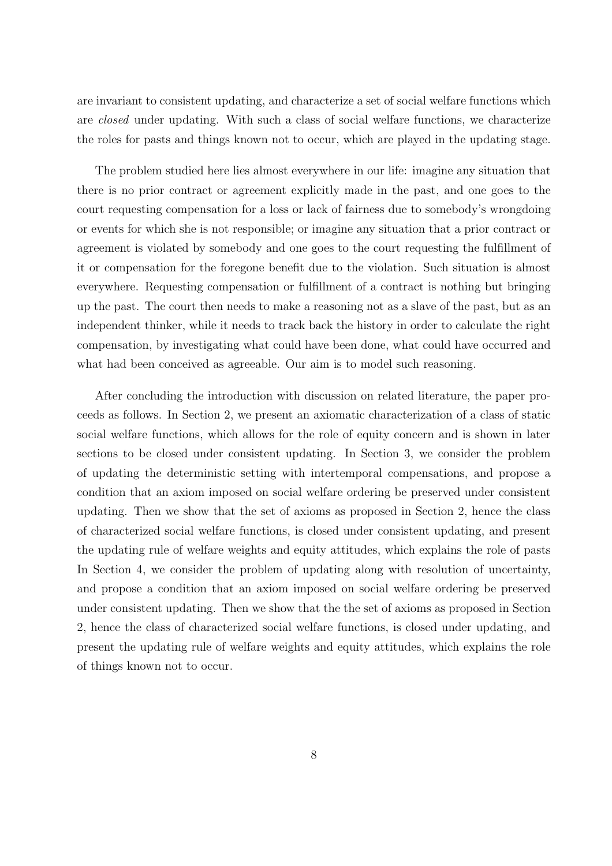are invariant to consistent updating, and characterize a set of social welfare functions which are *closed* under updating. With such a class of social welfare functions, we characterize the roles for pasts and things known not to occur, which are played in the updating stage.

The problem studied here lies almost everywhere in our life: imagine any situation that there is no prior contract or agreement explicitly made in the past, and one goes to the court requesting compensation for a loss or lack of fairness due to somebody's wrongdoing or events for which she is not responsible; or imagine any situation that a prior contract or agreement is violated by somebody and one goes to the court requesting the fulfillment of it or compensation for the foregone benefit due to the violation. Such situation is almost everywhere. Requesting compensation or fulfillment of a contract is nothing but bringing up the past. The court then needs to make a reasoning not as a slave of the past, but as an independent thinker, while it needs to track back the history in order to calculate the right compensation, by investigating what could have been done, what could have occurred and what had been conceived as agreeable. Our aim is to model such reasoning.

After concluding the introduction with discussion on related literature, the paper proceeds as follows. In Section 2, we present an axiomatic characterization of a class of static social welfare functions, which allows for the role of equity concern and is shown in later sections to be closed under consistent updating. In Section 3, we consider the problem of updating the deterministic setting with intertemporal compensations, and propose a condition that an axiom imposed on social welfare ordering be preserved under consistent updating. Then we show that the set of axioms as proposed in Section 2, hence the class of characterized social welfare functions, is closed under consistent updating, and present the updating rule of welfare weights and equity attitudes, which explains the role of pasts In Section 4, we consider the problem of updating along with resolution of uncertainty, and propose a condition that an axiom imposed on social welfare ordering be preserved under consistent updating. Then we show that the the set of axioms as proposed in Section 2, hence the class of characterized social welfare functions, is closed under updating, and present the updating rule of welfare weights and equity attitudes, which explains the role of things known not to occur.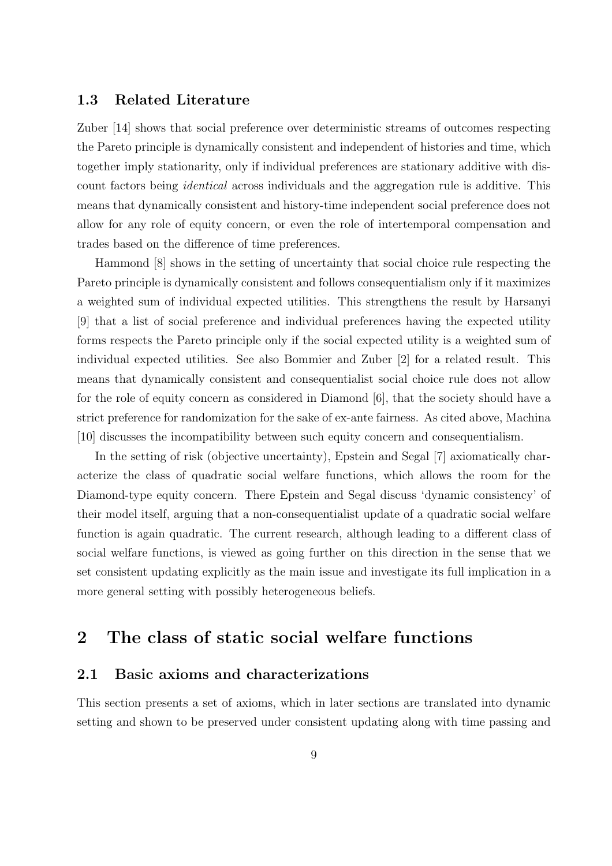### **1.3 Related Literature**

Zuber [14] shows that social preference over deterministic streams of outcomes respecting the Pareto principle is dynamically consistent and independent of histories and time, which together imply stationarity, only if individual preferences are stationary additive with discount factors being *identical* across individuals and the aggregation rule is additive. This means that dynamically consistent and history-time independent social preference does not allow for any role of equity concern, or even the role of intertemporal compensation and trades based on the difference of time preferences.

Hammond [8] shows in the setting of uncertainty that social choice rule respecting the Pareto principle is dynamically consistent and follows consequentialism only if it maximizes a weighted sum of individual expected utilities. This strengthens the result by Harsanyi [9] that a list of social preference and individual preferences having the expected utility forms respects the Pareto principle only if the social expected utility is a weighted sum of individual expected utilities. See also Bommier and Zuber [2] for a related result. This means that dynamically consistent and consequentialist social choice rule does not allow for the role of equity concern as considered in Diamond [6], that the society should have a strict preference for randomization for the sake of ex-ante fairness. As cited above, Machina [10] discusses the incompatibility between such equity concern and consequentialism.

In the setting of risk (objective uncertainty), Epstein and Segal [7] axiomatically characterize the class of quadratic social welfare functions, which allows the room for the Diamond-type equity concern. There Epstein and Segal discuss 'dynamic consistency' of their model itself, arguing that a non-consequentialist update of a quadratic social welfare function is again quadratic. The current research, although leading to a different class of social welfare functions, is viewed as going further on this direction in the sense that we set consistent updating explicitly as the main issue and investigate its full implication in a more general setting with possibly heterogeneous beliefs.

# **2 The class of static social welfare functions**

## **2.1 Basic axioms and characterizations**

This section presents a set of axioms, which in later sections are translated into dynamic setting and shown to be preserved under consistent updating along with time passing and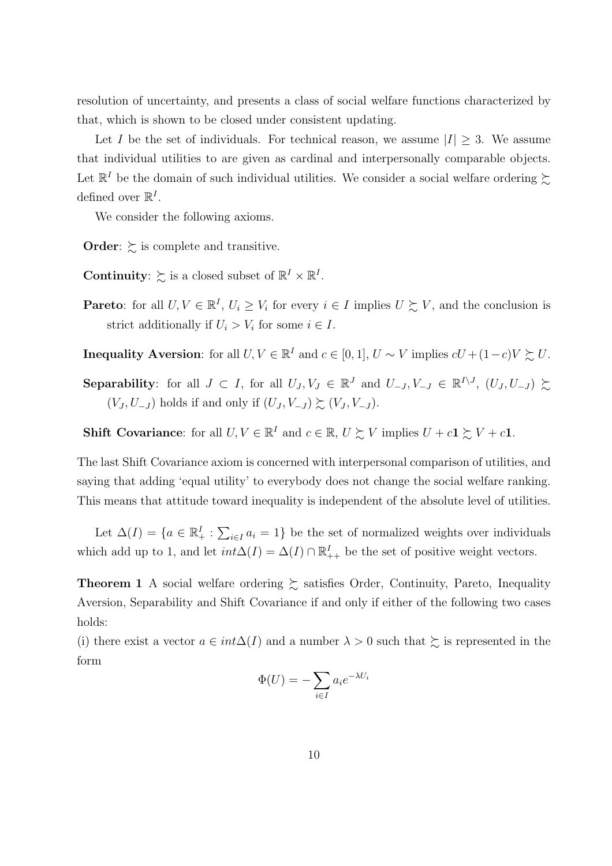resolution of uncertainty, and presents a class of social welfare functions characterized by that, which is shown to be closed under consistent updating.

Let *I* be the set of individuals. For technical reason, we assume  $|I| \geq 3$ . We assume that individual utilities to are given as cardinal and interpersonally comparable objects. Let  $\mathbb{R}^I$  be the domain of such individual utilities. We consider a social welfare ordering  $\succsim$ defined over  $\mathbb{R}^I$ .

We consider the following axioms.

**Order:**  $\succeq$  is complete and transitive.

- **Continuity**:  $\succsim$  is a closed subset of  $\mathbb{R}^I \times \mathbb{R}^I$ .
- **Pareto**: for all  $U, V \in \mathbb{R}^I$ ,  $U_i \geq V_i$  for every  $i \in I$  implies  $U \succeq V$ , and the conclusion is strict additionally if  $U_i > V_i$  for some  $i \in I$ .
- **Inequality Aversion**: for all  $U, V \in \mathbb{R}^I$  and  $c \in [0, 1], U \sim V$  implies  $cU + (1 c)V \succsim U$ .
- **Separability**: for all  $J \subset I$ , for all  $U_J, V_J \in \mathbb{R}^J$  and  $U_{-J}, V_{-J} \in \mathbb{R}^{I \setminus J}$ ,  $(U_J, U_{-J}) \succeq$  $(V_J, U_{-J})$  holds if and only if  $(U_J, V_{-J}) \succsim (V_J, V_{-J})$ .

**Shift Covariance**: for all  $U, V \in \mathbb{R}^I$  and  $c \in \mathbb{R}, U \succsim V$  implies  $U + c\mathbf{1} \succsim V + c\mathbf{1}$ .

The last Shift Covariance axiom is concerned with interpersonal comparison of utilities, and saying that adding 'equal utility' to everybody does not change the social welfare ranking. This means that attitude toward inequality is independent of the absolute level of utilities.

Let  $\Delta(I) = \{a \in \mathbb{R}^I_+ : \sum_{i \in I} a_i = 1\}$  be the set of normalized weights over individuals which add up to 1, and let  $int\Delta(I) = \Delta(I) \cap \mathbb{R}^I_{++}$  be the set of positive weight vectors.

**Theorem 1** A social welfare ordering  $\succeq$  satisfies Order, Continuity, Pareto, Inequality Aversion, Separability and Shift Covariance if and only if either of the following two cases holds:

(i) there exist a vector  $a \in int\Delta(I)$  and a number  $\lambda > 0$  such that  $\sum$  is represented in the form

$$
\Phi(U) = -\sum_{i \in I} a_i e^{-\lambda U_i}
$$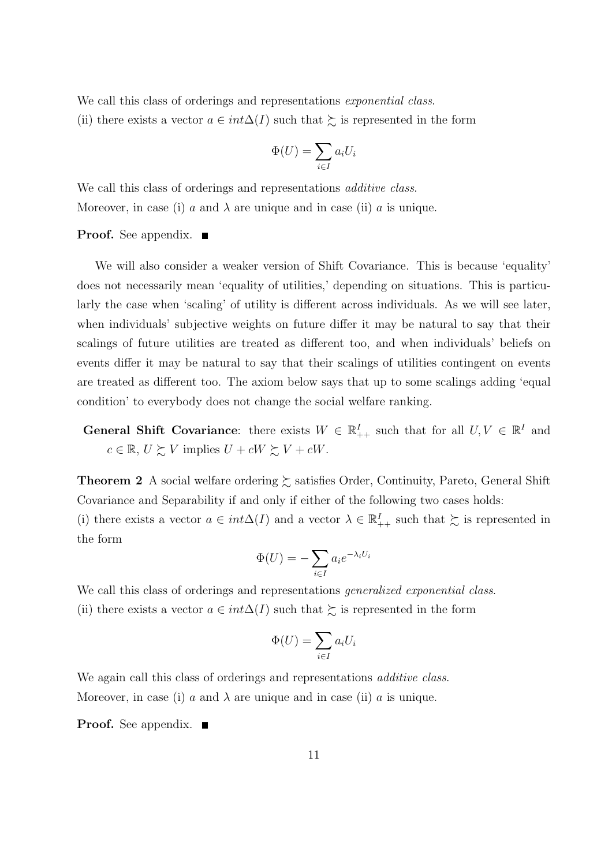We call this class of orderings and representations *exponential class*.

(ii) there exists a vector  $a \in int\Delta(I)$  such that  $\gtrsim$  is represented in the form

$$
\Phi(U) = \sum_{i \in I} a_i U_i
$$

We call this class of orderings and representations *additive class*. Moreover, in case (i) *a* and  $\lambda$  are unique and in case (ii) *a* is unique.

#### **Proof.** See appendix. ■

We will also consider a weaker version of Shift Covariance. This is because 'equality' does not necessarily mean 'equality of utilities,' depending on situations. This is particularly the case when 'scaling' of utility is different across individuals. As we will see later, when individuals' subjective weights on future differ it may be natural to say that their scalings of future utilities are treated as different too, and when individuals' beliefs on events differ it may be natural to say that their scalings of utilities contingent on events are treated as different too. The axiom below says that up to some scalings adding 'equal condition' to everybody does not change the social welfare ranking.

**General Shift Covariance:** there exists  $W \in \mathbb{R}^I_{++}$  such that for all  $U, V \in \mathbb{R}^I$  and  $c \in \mathbb{R}, U \succsim V$  implies  $U + cW \succsim V + cW$ .

**Theorem 2** A social welfare ordering  $\succeq$  satisfies Order, Continuity, Pareto, General Shift Covariance and Separability if and only if either of the following two cases holds:

(i) there exists a vector  $a \in int \Delta(I)$  and a vector  $\lambda \in \mathbb{R}^I_{++}$  such that  $\succeq$  is represented in the form

$$
\Phi(U) = -\sum_{i \in I} a_i e^{-\lambda_i U_i}
$$

We call this class of orderings and representations *generalized exponential class*.

(ii) there exists a vector  $a \in int\Delta(I)$  such that  $\gtrsim$  is represented in the form

$$
\Phi(U) = \sum_{i \in I} a_i U_i
$$

We again call this class of orderings and representations *additive class*. Moreover, in case (i) *a* and  $\lambda$  are unique and in case (ii) *a* is unique.

**Proof.** See appendix. ■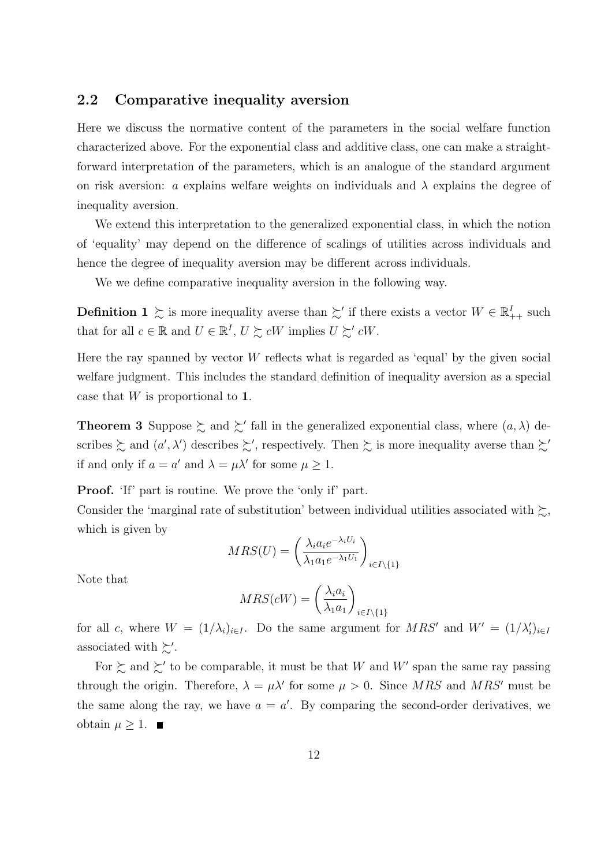## **2.2 Comparative inequality aversion**

Here we discuss the normative content of the parameters in the social welfare function characterized above. For the exponential class and additive class, one can make a straightforward interpretation of the parameters, which is an analogue of the standard argument on risk aversion: *a* explains welfare weights on individuals and  $\lambda$  explains the degree of inequality aversion.

We extend this interpretation to the generalized exponential class, in which the notion of 'equality' may depend on the difference of scalings of utilities across individuals and hence the degree of inequality aversion may be different across individuals.

We we define comparative inequality aversion in the following way.

**Definition 1**  $\succsim$  is more inequality averse than  $\succsim'$  if there exists a vector  $W \in \mathbb{R}^I_{++}$  such that for all  $c \in \mathbb{R}$  and  $U \in \mathbb{R}^I$ ,  $U \succsim cW$  implies  $U \succsim' cW$ .

Here the ray spanned by vector *W* reflects what is regarded as 'equal' by the given social welfare judgment. This includes the standard definition of inequality aversion as a special case that *W* is proportional to **1**.

**Theorem 3** Suppose  $\geq$  and  $\geq'$  fall in the generalized exponential class, where  $(a, \lambda)$  describes  $\gtrsim$  and  $(a', \lambda')$  describes  $\gtrsim'$ , respectively. Then  $\gtrsim$  is more inequality averse than  $\gtrsim'$ if and only if  $a = a'$  and  $\lambda = \mu \lambda'$  for some  $\mu \geq 1$ .

**Proof.** 'If' part is routine. We prove the 'only if' part.

Consider the 'marginal rate of substitution' between individual utilities associated with  $\gtrsim$ , which is given by

$$
MRS(U) = \left(\frac{\lambda_i a_i e^{-\lambda_i U_i}}{\lambda_1 a_1 e^{-\lambda_1 U_1}}\right)_{i \in I \setminus \{1\}}
$$

Note that

$$
MRS(cW) = \left(\frac{\lambda_i a_i}{\lambda_1 a_1}\right)_{i \in I \setminus \{1\}}
$$

for all *c*, where  $W = (1/\lambda_i)_{i \in I}$ . Do the same argument for  $MRS'$  and  $W' = (1/\lambda_i')_{i \in I}$ associated with  $\gtrsim'$ .

For  $\succsim$  and  $\succsim'$  to be comparable, it must be that *W* and *W'* span the same ray passing through the origin. Therefore,  $\lambda = \mu \lambda'$  for some  $\mu > 0$ . Since MRS and MRS' must be the same along the ray, we have  $a = a'$ . By comparing the second-order derivatives, we obtain  $\mu$  ≥ 1. ■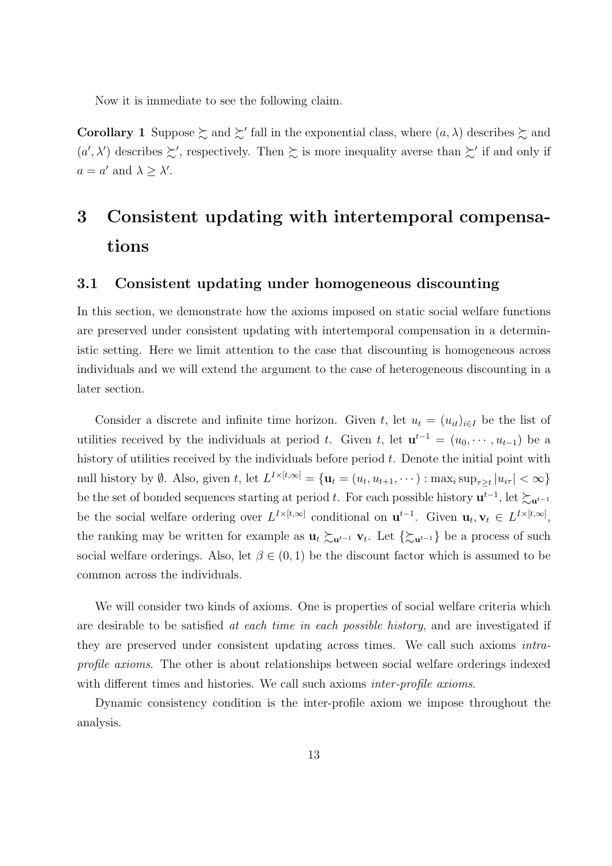Now it is immediate to see the following claim.

**Corollary 1** Suppose  $\succsim$  and  $\succsim'$  fall in the exponential class, where  $(a, \lambda)$  describes  $\succsim$  and  $(a', \lambda')$  describes  $\succsim'$ , respectively. Then  $\succsim$  is more inequality averse than  $\succsim'$  if and only if  $a = a'$  and  $\lambda \geq \lambda'$ .

# **3 Consistent updating with intertemporal compensations**

## **3.1 Consistent updating under homogeneous discounting**

In this section, we demonstrate how the axioms imposed on static social welfare functions are preserved under consistent updating with intertemporal compensation in a deterministic setting. Here we limit attention to the case that discounting is homogeneous across individuals and we will extend the argument to the case of heterogeneous discounting in a later section.

Consider a discrete and infinite time horizon. Given *t*, let  $u_t = (u_{it})_{i \in I}$  be the list of utilities received by the individuals at period *t*. Given *t*, let  $\mathbf{u}^{t-1} = (u_0, \dots, u_{t-1})$  be a history of utilities received by the individuals before period *t*. Denote the initial point with null history by  $\emptyset$ . Also, given t, let  $L^{I\times [t,\infty]} = {\mathbf{u}_t = (u_t, u_{t+1}, \cdots) : \max_i \sup_{\tau \geq t} |u_{i\tau}| < \infty}$ be the set of bonded sequences starting at period *t*. For each possible history  $\mathbf{u}^{t-1}$ , let  $\succsim_{\mathbf{u}^{t-1}}$ be the social welfare ordering over  $L^{I\times [t,\infty]}$  conditional on  $\mathbf{u}^{t-1}$ . Given  $\mathbf{u}_t, \mathbf{v}_t \in L^{I\times [t,\infty]}$ , the ranking may be written for example as  $\mathbf{u}_t \succsim \mathbf{u}^{t-1} \mathbf{v}_t$ . Let  $\{\succsim \mathbf{u}^{t-1}\}$  be a process of such social welfare orderings. Also, let  $\beta \in (0,1)$  be the discount factor which is assumed to be common across the individuals.

We will consider two kinds of axioms. One is properties of social welfare criteria which are desirable to be satisfied *at each time in each possible history*, and are investigated if they are preserved under consistent updating across times. We call such axioms *intraprofile axioms*. The other is about relationships between social welfare orderings indexed with different times and histories. We call such axioms *inter-profile axioms*.

Dynamic consistency condition is the inter-profile axiom we impose throughout the analysis.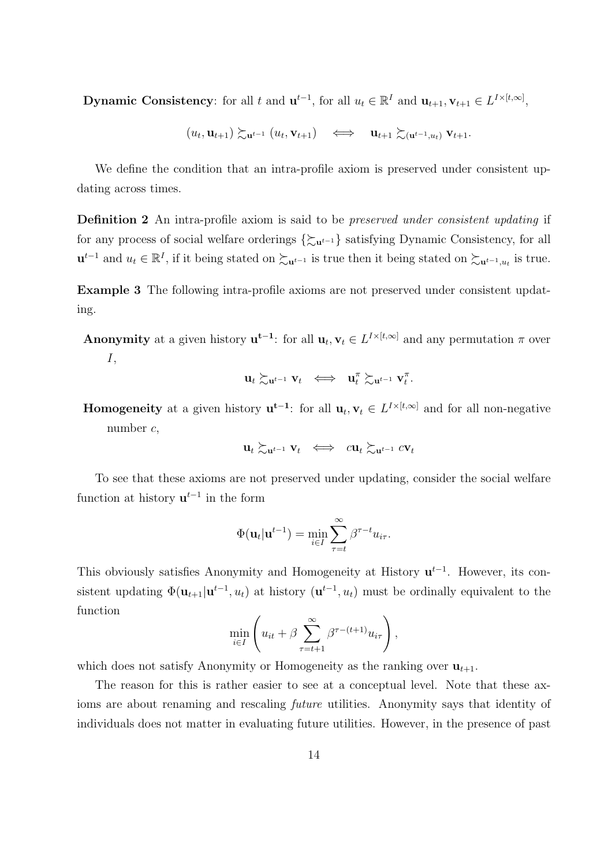**Dynamic Consistency**: for all t and  $\mathbf{u}^{t-1}$ , for all  $u_t \in \mathbb{R}^I$  and  $\mathbf{u}_{t+1}, \mathbf{v}_{t+1} \in L^{I \times [t,\infty]}$ ,

$$
(u_t, \mathbf{u}_{t+1}) \succsim_{\mathbf{u}^{t-1}} (u_t, \mathbf{v}_{t+1}) \quad \Longleftrightarrow \quad \mathbf{u}_{t+1} \succsim_{(\mathbf{u}^{t-1}, u_t)} \mathbf{v}_{t+1}.
$$

We define the condition that an intra-profile axiom is preserved under consistent updating across times.

**Definition 2** An intra-profile axiom is said to be *preserved under consistent updating* if for any process of social welfare orderings *{*%**u***t−*<sup>1</sup> *}* satisfying Dynamic Consistency, for all  $u^{t-1}$  and  $u_t \in \mathbb{R}^I$ , if it being stated on  $\succeq_{u^{t-1}}$  is true then it being stated on  $\succeq_{u^{t-1},u_t}$  is true.

**Example 3** The following intra-profile axioms are not preserved under consistent updating.

**Anonymity** at a given history  $\mathbf{u}^{t-1}$ : for all  $\mathbf{u}_t, \mathbf{v}_t \in L^{I \times [t,\infty]}$  and any permutation  $\pi$  over *I*,

$$
\mathbf{u}_t \succsim_{\mathbf{u}^{t-1}} \mathbf{v}_t \ \iff \ \mathbf{u}_t^{\pi} \succsim_{\mathbf{u}^{t-1}} \mathbf{v}_t^{\pi}.
$$

**Homogeneity** at a given history  $\mathbf{u}^{t-1}$ : for all  $\mathbf{u}_t, \mathbf{v}_t \in L^{I \times [t,\infty]}$  and for all non-negative number *c*,

$$
\mathbf{u}_t \succsim_{\mathbf{u}^{t-1}} \mathbf{v}_t \ \iff \ c \mathbf{u}_t \succsim_{\mathbf{u}^{t-1}} c \mathbf{v}_t
$$

To see that these axioms are not preserved under updating, consider the social welfare function at history **u** *t−*1 in the form

$$
\Phi(\mathbf{u}_t|\mathbf{u}^{t-1}) = \min_{i \in I} \sum_{\tau=t}^{\infty} \beta^{\tau-t} u_{i\tau}.
$$

This obviously satisfies Anonymity and Homogeneity at History **u** *t−*1 . However, its consistent updating  $\Phi(\mathbf{u}_{t+1}|\mathbf{u}^{t-1}, u_t)$  at history  $(\mathbf{u}^{t-1}, u_t)$  must be ordinally equivalent to the function

$$
\min_{i \in I} \left( u_{it} + \beta \sum_{\tau=t+1}^{\infty} \beta^{\tau-(t+1)} u_{i\tau} \right),
$$

which does not satisfy Anonymity or Homogeneity as the ranking over  $\mathbf{u}_{t+1}$ .

The reason for this is rather easier to see at a conceptual level. Note that these axioms are about renaming and rescaling *future* utilities. Anonymity says that identity of individuals does not matter in evaluating future utilities. However, in the presence of past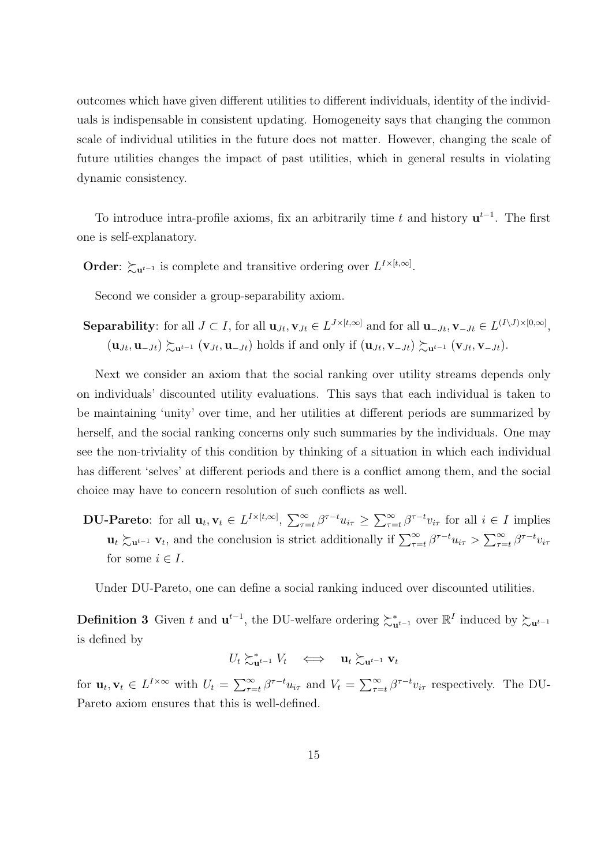outcomes which have given different utilities to different individuals, identity of the individuals is indispensable in consistent updating. Homogeneity says that changing the common scale of individual utilities in the future does not matter. However, changing the scale of future utilities changes the impact of past utilities, which in general results in violating dynamic consistency.

To introduce intra-profile axioms, fix an arbitrarily time *t* and history **u** *t−*1 . The first one is self-explanatory.

**Order**:  $\succsim$ **u**<sup>*t*-1</sup> is complete and transitive ordering over  $L^{I\times [t,\infty]}$ .

Second we consider a group-separability axiom.

**Separability**: for all  $J \subset I$ , for all  $\mathbf{u}_{Jt}, \mathbf{v}_{Jt} \in L^{J \times [t,\infty]}$  and for all  $\mathbf{u}_{-Jt}, \mathbf{v}_{-Jt} \in L^{(I \setminus J) \times [0,\infty]}$ ,  $(\mathbf{u}_{Jt}, \mathbf{u}_{-Jt}) \succsim_{\mathbf{u}^{t-1}} (\mathbf{v}_{Jt}, \mathbf{u}_{-Jt})$  holds if and only if  $(\mathbf{u}_{Jt}, \mathbf{v}_{-Jt}) \succsim_{\mathbf{u}^{t-1}} (\mathbf{v}_{Jt}, \mathbf{v}_{-Jt}).$ 

Next we consider an axiom that the social ranking over utility streams depends only on individuals' discounted utility evaluations. This says that each individual is taken to be maintaining 'unity' over time, and her utilities at different periods are summarized by herself, and the social ranking concerns only such summaries by the individuals. One may see the non-triviality of this condition by thinking of a situation in which each individual has different 'selves' at different periods and there is a conflict among them, and the social choice may have to concern resolution of such conflicts as well.

**DU-Pareto**: for all  $\mathbf{u}_t, \mathbf{v}_t \in L^{I \times [t,\infty]}, \sum_{\tau=t}^{\infty} \beta^{\tau-t} u_{i\tau} \geq \sum_{\tau=t}^{\infty} \beta^{\tau-t} v_{i\tau}$  for all  $i \in I$  implies  $\mathbf{u}_t \succsim_{\mathbf{u}^{t-1}} \mathbf{v}_t$ , and the conclusion is strict additionally if  $\sum_{\tau=t}^{\infty} \beta^{\tau-t} u_{i\tau} > \sum_{\tau=t}^{\infty} \beta^{\tau-t} v_{i\tau}$ for some  $i \in I$ .

Under DU-Pareto, one can define a social ranking induced over discounted utilities.

**Definition 3** Given *t* and  $\mathbf{u}^{t-1}$ , the DU-welfare ordering  $\succsim_{\mathbf{u}^{t-1}}^*$  over  $\mathbb{R}^I$  induced by  $\succsim_{\mathbf{u}^{t-1}}$ is defined by

 $U_t \succsim_{\mathbf{u}^{t-1}}^{\mathbf{*}} V_t \iff \mathbf{u}_t \succsim_{\mathbf{u}^{t-1}} \mathbf{v}_t$ 

for  $\mathbf{u}_t, \mathbf{v}_t \in L^{I \times \infty}$  with  $U_t = \sum_{\tau=t}^{\infty} \beta^{\tau-t} u_{i\tau}$  and  $V_t = \sum_{\tau=t}^{\infty} \beta^{\tau-t} v_{i\tau}$  respectively. The DU-Pareto axiom ensures that this is well-defined.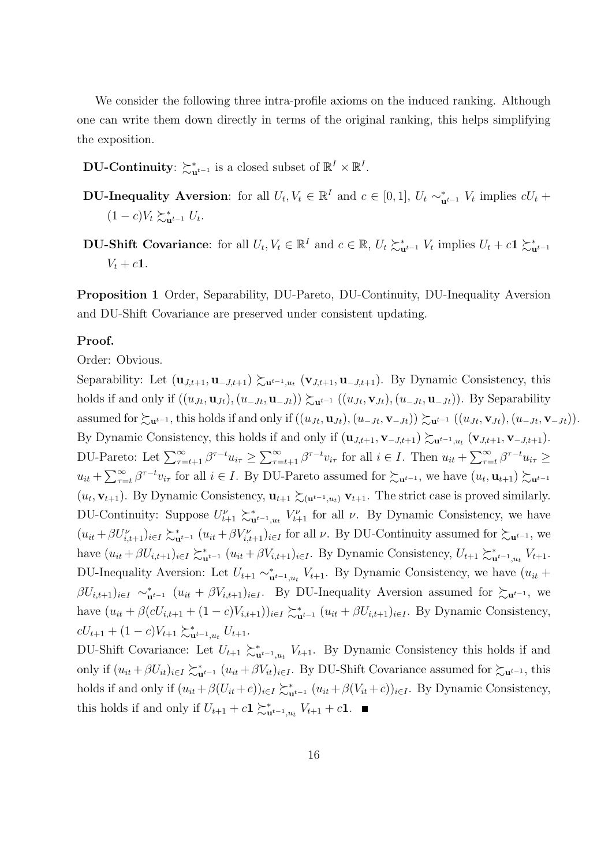We consider the following three intra-profile axioms on the induced ranking. Although one can write them down directly in terms of the original ranking, this helps simplifying the exposition.

**DU-Continuity**:  $\succsim_{\mathbf{u}^{t-1}}^*$  is a closed subset of  $\mathbb{R}^I \times \mathbb{R}^I$ .

**DU-Inequality Aversion**: for all  $U_t, V_t \in \mathbb{R}^I$  and  $c \in [0,1], U_t \sim_{\mathbf{u}^{t-1}}^* V_t$  implies  $cU_t$  +  $(1 - c)V_t \succeq_{\mathbf{u}^{t-1}}^* U_t.$ 

**DU-Shift Covariance**: for all  $U_t, V_t \in \mathbb{R}^I$  and  $c \in \mathbb{R}$ ,  $U_t \succsim_{\mathbf{u}^{t-1}}^* V_t$  implies  $U_t + c\mathbf{1} \succsim_{\mathbf{u}^{t-1}}^*$  $V_t + c1$ .

**Proposition 1** Order, Separability, DU-Pareto, DU-Continuity, DU-Inequality Aversion and DU-Shift Covariance are preserved under consistent updating.

#### **Proof.**

#### Order: Obvious.

Separability: Let  $(\mathbf{u}_{J,t+1}, \mathbf{u}_{-J,t+1}) \succeq_{\mathbf{u}^{t-1},u_t} (\mathbf{v}_{J,t+1}, \mathbf{u}_{-J,t+1})$ . By Dynamic Consistency, this holds if and only if  $((u_{Jt}, \mathbf{u}_{Jt}), (u_{-Jt}, \mathbf{u}_{-Jt})) \succsim_{\mathbf{u}^{t-1}} ((u_{Jt}, \mathbf{v}_{Jt}), (u_{-Jt}, \mathbf{u}_{-Jt}))$ . By Separability assumed for  $\succsim_{\mathbf{u}^{t-1}}$ , this holds if and only if  $((u_{Jt}, \mathbf{u}_{Jt}), (u_{-Jt}, \mathbf{v}_{-Jt})) \succsim_{\mathbf{u}^{t-1}} ((u_{Jt}, \mathbf{v}_{Jt}), (u_{-Jt}, \mathbf{v}_{-Jt})).$ By Dynamic Consistency, this holds if and only if  $(\mathbf{u}_{J,t+1}, \mathbf{v}_{-J,t+1}) \succsim \mathbf{u}^{t-1}, u_t$   $(\mathbf{v}_{J,t+1}, \mathbf{v}_{-J,t+1})$ . DU-Pareto: Let  $\sum_{\tau=t+1}^{\infty} \beta^{\tau-t} u_{i\tau} \geq \sum_{\tau=t+1}^{\infty} \beta^{\tau-t} v_{i\tau}$  for all  $i \in I$ . Then  $u_{it} + \sum_{\tau=t}^{\infty} \beta^{\tau-t} u_{i\tau} \geq$  $u_{it} + \sum_{\tau=t}^{\infty} \beta^{\tau-t} v_{i\tau}$  for all  $i \in I$ . By DU-Pareto assumed for  $\succsim_{\mathbf{u}^{t-1}}$ , we have  $(u_t, \mathbf{u}_{t+1}) \succsim_{\mathbf{u}^{t-1}}$  $(u_t, \mathbf{v}_{t+1})$ . By Dynamic Consistency,  $\mathbf{u}_{t+1} \succsim_{(\mathbf{u}^{t-1}, u_t)} \mathbf{v}_{t+1}$ . The strict case is proved similarly. DU-Continuity: Suppose  $U_{t+1}^{\nu} \succeq_{\mathbf{u}^{t-1},u_t}^{\nu} V_{t+1}^{\nu}$  for all  $\nu$ . By Dynamic Consistency, we have  $(u_{it}+\beta U_{i,t+1}^{\nu})_{i\in I}\succsim_{\mathbf{u}^{t-1}}^{\mathbf{t}} (u_{it}+\beta V_{i,t+1}^{\nu})_{i\in I}$  for all  $\nu$ . By DU-Continuity assumed for  $\succsim_{\mathbf{u}^{t-1}}$ , we have  $(u_{it} + \beta U_{i,t+1})_{i \in I} \sum_{u}^{t} (u_{it} + \beta V_{i,t+1})_{i \in I}$ . By Dynamic Consistency,  $U_{t+1} \sum_{u}^{t} V_{t+1}$ . DU-Inequality Aversion: Let  $U_{t+1} \sim_{\mathbf{u}^{t-1},u_t}^* V_{t+1}$ . By Dynamic Consistency, we have  $(u_{it} +$  $\beta U_{i,t+1}{}_{i\in I} \sim_{\mathbf{u}^{t-1}}^{\infty} (u_{it} + \beta V_{i,t+1})_{i\in I}$ . By DU-Inequality Aversion assumed for  $\succsim_{\mathbf{u}^{t-1}}$ , we have  $(u_{it} + \beta(cU_{i,t+1} + (1-c)V_{i,t+1}))_{i \in I} \succeq_{\mathbf{u}^{t-1}}^* (u_{it} + \beta U_{i,t+1})_{i \in I}$ . By Dynamic Consistency,  $cU_{t+1} + (1-c)V_{t+1} \succsim_{\mathbf{u}^{t-1},u_t}^* U_{t+1}.$ 

DU-Shift Covariance: Let  $U_{t+1} \succeq_{\mathbf{u}^{t-1},u_t}^* V_{t+1}$ . By Dynamic Consistency this holds if and only if  $(u_{it} + \beta U_{it})_{i \in I} \succeq_{\mathbf{u}^{t-1}}^* (u_{it} + \beta V_{it})_{i \in I}$ . By DU-Shift Covariance assumed for  $\succeq_{\mathbf{u}^{t-1}}$ , this holds if and only if  $(u_{it}+\beta(U_{it}+c))_{i\in I}\succsim_{\mathbf{u}^{t-1}}^*(u_{it}+\beta(V_{it}+c))_{i\in I}$ . By Dynamic Consistency, this holds if and only if  $U_{t+1} + c\mathbf{1} \succsim_{\mathbf{u}^{t-1},u_t}^* V_{t+1} + c\mathbf{1}$ .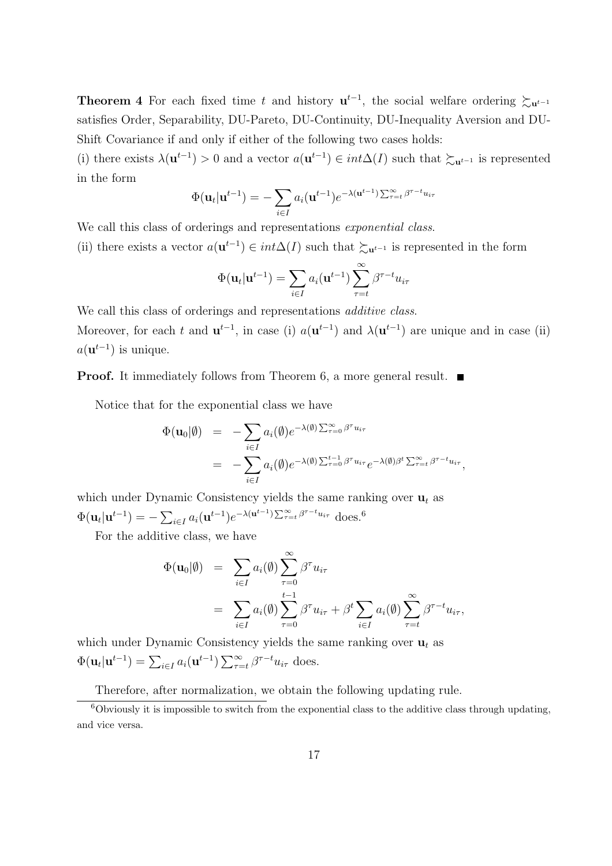**Theorem 4** For each fixed time *t* and history  $\mathbf{u}^{t-1}$ , the social welfare ordering  $\succsim_{\mathbf{u}^{t-1}}$ satisfies Order, Separability, DU-Pareto, DU-Continuity, DU-Inequality Aversion and DU-Shift Covariance if and only if either of the following two cases holds:

(i) there exists  $\lambda(\mathbf{u}^{t-1}) > 0$  and a vector  $a(\mathbf{u}^{t-1}) \in int\Delta(I)$  such that  $\succsim_{\mathbf{u}^{t-1}}$  is represented in the form

$$
\Phi(\mathbf{u}_t|\mathbf{u}^{t-1}) = -\sum_{i \in I} a_i(\mathbf{u}^{t-1})e^{-\lambda(\mathbf{u}^{t-1})\sum_{\tau=t}^{\infty} \beta^{\tau-t} u_{i\tau}}
$$

We call this class of orderings and representations *exponential class*.

(ii) there exists a vector  $a(\mathbf{u}^{t-1}) \in int\Delta(I)$  such that  $\succ_{\mathbf{u}^{t-1}}$  is represented in the form

$$
\Phi(\mathbf{u}_t|\mathbf{u}^{t-1}) = \sum_{i \in I} a_i(\mathbf{u}^{t-1}) \sum_{\tau=t}^{\infty} \beta^{\tau-t} u_{i\tau}
$$

We call this class of orderings and representations *additive class*.

Moreover, for each t and  $\mathbf{u}^{t-1}$ , in case (i)  $a(\mathbf{u}^{t-1})$  and  $\lambda(\mathbf{u}^{t-1})$  are unique and in case (ii)  $a(\mathbf{u}^{t-1})$  is unique.

**Proof.** It immediately follows from Theorem 6, a more general result. ■

Notice that for the exponential class we have

$$
\Phi(\mathbf{u}_0|\emptyset) = -\sum_{i \in I} a_i(\emptyset) e^{-\lambda(\emptyset) \sum_{\tau=0}^{\infty} \beta^{\tau} u_{i\tau}} \n= -\sum_{i \in I} a_i(\emptyset) e^{-\lambda(\emptyset) \sum_{\tau=0}^{t-1} \beta^{\tau} u_{i\tau}} e^{-\lambda(\emptyset) \beta^t \sum_{\tau=t}^{\infty} \beta^{\tau-t} u_{i\tau}},
$$

which under Dynamic Consistency yields the same ranking over  $\mathbf{u}_t$  as  $\Phi(\mathbf{u}_t|\mathbf{u}^{t-1}) = -\sum_{i \in I} a_i(\mathbf{u}^{t-1})e^{-\lambda(\mathbf{u}^{t-1})\sum_{\tau=t}^{\infty} \beta^{\tau-t}u_{i\tau}}$  does.<sup>6</sup>

For the additive class, we have

$$
\Phi(\mathbf{u}_0|\emptyset) = \sum_{i \in I} a_i(\emptyset) \sum_{\tau=0}^{\infty} \beta^{\tau} u_{i\tau}
$$
  
= 
$$
\sum_{i \in I} a_i(\emptyset) \sum_{\tau=0}^{t-1} \beta^{\tau} u_{i\tau} + \beta^t \sum_{i \in I} a_i(\emptyset) \sum_{\tau=t}^{\infty} \beta^{\tau-t} u_{i\tau},
$$

which under Dynamic Consistency yields the same ranking over  $\mathbf{u}_t$  as  $\Phi(\mathbf{u}_t | \mathbf{u}^{t-1}) = \sum_{i \in I} a_i(\mathbf{u}^{t-1}) \sum_{\tau=t}^{\infty} \beta^{\tau-t} u_{i\tau}$  does.

Therefore, after normalization, we obtain the following updating rule.

 $6$ Obviously it is impossible to switch from the exponential class to the additive class through updating, and vice versa.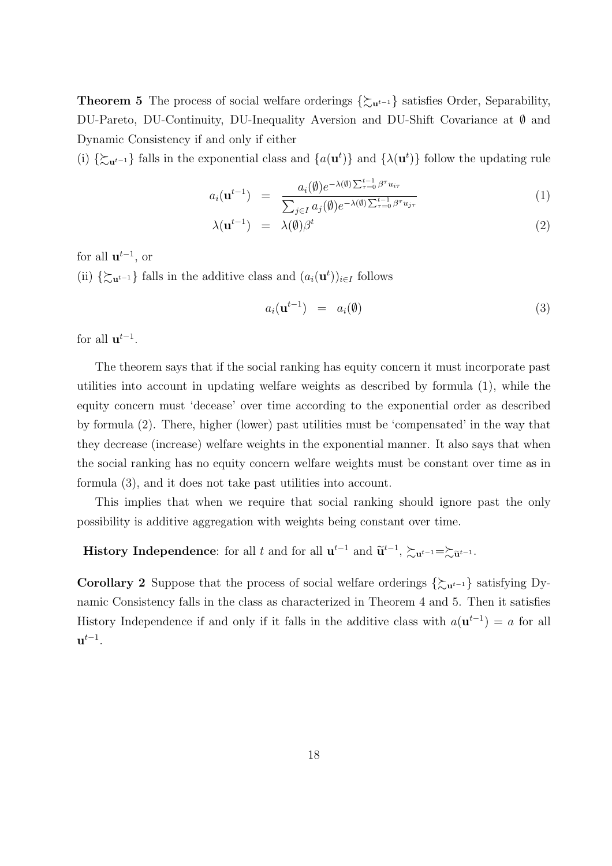**Theorem 5** The process of social welfare orderings  $\{\sum_{u^t-1}\}$  satisfies Order, Separability, DU-Pareto, DU-Continuity, DU-Inequality Aversion and DU-Shift Covariance at *∅* and Dynamic Consistency if and only if either

(i)  $\{\sum_{u} u^{t-1}\}\$  falls in the exponential class and  $\{a(u^t)\}\$  and  $\{\lambda(u^t)\}\$  follow the updating rule

$$
a_i(\mathbf{u}^{t-1}) = \frac{a_i(\emptyset)e^{-\lambda(\emptyset)\sum_{\tau=0}^{t-1}\beta^{\tau}u_{i\tau}}}{\sum_{j\in I}a_j(\emptyset)e^{-\lambda(\emptyset)\sum_{\tau=0}^{t-1}\beta^{\tau}u_{j\tau}}}
$$
(1)

$$
\lambda(\mathbf{u}^{t-1}) = \lambda(\emptyset)\beta^t \tag{2}
$$

for all  $\mathbf{u}^{t-1}$ , or

(ii)  $\{\sum_{u} u^{t-1}\}\$  falls in the additive class and  $(a_i(u^t))_{i \in I}$  follows

$$
a_i(\mathbf{u}^{t-1}) = a_i(\emptyset) \tag{3}
$$

for all  $\mathbf{u}^{t-1}$ .

The theorem says that if the social ranking has equity concern it must incorporate past utilities into account in updating welfare weights as described by formula (1), while the equity concern must 'decease' over time according to the exponential order as described by formula (2). There, higher (lower) past utilities must be 'compensated' in the way that they decrease (increase) welfare weights in the exponential manner. It also says that when the social ranking has no equity concern welfare weights must be constant over time as in formula (3), and it does not take past utilities into account.

This implies that when we require that social ranking should ignore past the only possibility is additive aggregation with weights being constant over time.

# **History Independence**: for all *t* and for all  $\mathbf{u}^{t-1}$  and  $\widetilde{\mathbf{u}}^{t-1}$ ,  $\succsim_{\mathbf{u}^{t-1}} = \succsim_{\widetilde{\mathbf{u}}^{t-1}}$ .

**Corollary 2** Suppose that the process of social welfare orderings  $\{\sum_{u^t-1}\}$  satisfying Dynamic Consistency falls in the class as characterized in Theorem 4 and 5. Then it satisfies History Independence if and only if it falls in the additive class with  $a(\mathbf{u}^{t-1}) = a$  for all **u** *t−*1 .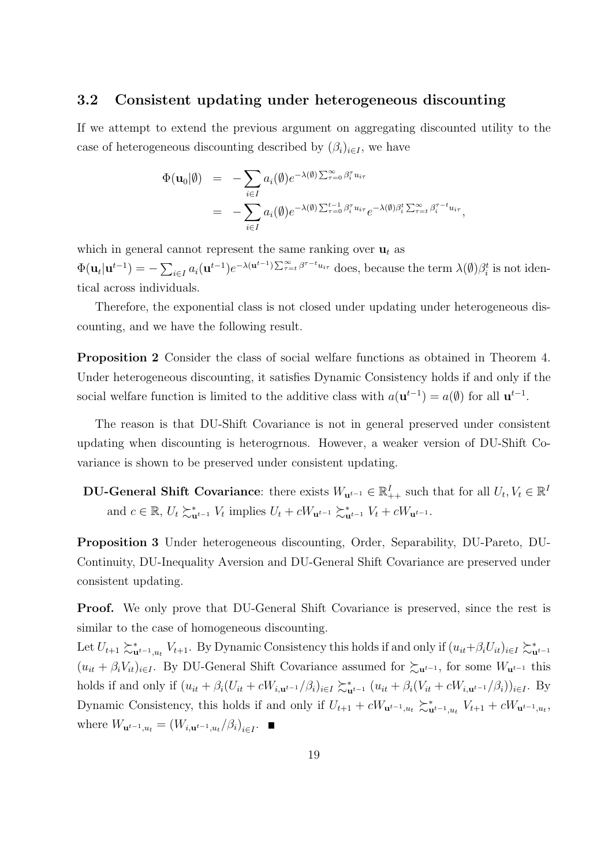#### **3.2 Consistent updating under heterogeneous discounting**

If we attempt to extend the previous argument on aggregating discounted utility to the case of heterogeneous discounting described by  $(\beta_i)_{i \in I}$ , we have

$$
\Phi(\mathbf{u}_0|\emptyset) = -\sum_{i \in I} a_i(\emptyset) e^{-\lambda(\emptyset) \sum_{\tau=0}^{\infty} \beta_i^{\tau} u_{i\tau}} \n= -\sum_{i \in I} a_i(\emptyset) e^{-\lambda(\emptyset) \sum_{\tau=0}^{t-1} \beta_i^{\tau} u_{i\tau}} e^{-\lambda(\emptyset) \beta_i^t \sum_{\tau=t}^{\infty} \beta_i^{\tau-t} u_{i\tau}},
$$

which in general cannot represent the same ranking over  $\mathbf{u}_t$  as  $\Phi(\mathbf{u}_t|\mathbf{u}^{t-1}) = -\sum_{i\in I} a_i(\mathbf{u}^{t-1})e^{-\lambda(\mathbf{u}^{t-1})\sum_{\tau=t}^{\infty} \beta^{\tau-t}u_{i\tau}}$  does, because the term  $\lambda(\emptyset)\beta_i^t$  is not identical across individuals.

Therefore, the exponential class is not closed under updating under heterogeneous discounting, and we have the following result.

**Proposition 2** Consider the class of social welfare functions as obtained in Theorem 4. Under heterogeneous discounting, it satisfies Dynamic Consistency holds if and only if the social welfare function is limited to the additive class with  $a(\mathbf{u}^{t-1}) = a(\emptyset)$  for all  $\mathbf{u}^{t-1}$ .

The reason is that DU-Shift Covariance is not in general preserved under consistent updating when discounting is heterogrnous. However, a weaker version of DU-Shift Covariance is shown to be preserved under consistent updating.

 $D$ **U-General Shift Covariance**: there exists  $W_{\mathbf{u}^{t-1}} \in \mathbb{R}_{++}^I$  such that for all  $U_t, V_t \in \mathbb{R}^I$ and  $c \in \mathbb{R}$ ,  $U_t \succsim_{\mathbf{u}^{t-1}}^{\mathbf{*}} V_t$  implies  $U_t + cW_{\mathbf{u}^{t-1}} \succsim_{\mathbf{u}^{t-1}}^{\mathbf{*}} V_t + cW_{\mathbf{u}^{t-1}}$ .

**Proposition 3** Under heterogeneous discounting, Order, Separability, DU-Pareto, DU-Continuity, DU-Inequality Aversion and DU-General Shift Covariance are preserved under consistent updating.

**Proof.** We only prove that DU-General Shift Covariance is preserved, since the rest is similar to the case of homogeneous discounting.

Let  $U_{t+1} \succ_{\mathbf{u}^{t-1},u_t}^* V_{t+1}$ . By Dynamic Consistency this holds if and only if  $(u_{it}+\beta_i U_{it})_{i\in I} \succ_{\mathbf{u}^{t-1}}^*$  $(u_{it} + \beta_i V_{it})_{i \in I}$ . By DU-General Shift Covariance assumed for  $\succsim u^{t-1}$ , for some  $W_{u^{t-1}}$  this holds if and only if  $(u_{it} + \beta_i(U_{it} + cW_{i,\mathbf{u}^{t-1}}/\beta_i)_{i \in I} \succsim_{\mathbf{u}^{t-1}}^* (u_{it} + \beta_i(V_{it} + cW_{i,\mathbf{u}^{t-1}}/\beta_i))_{i \in I}$ . By Dynamic Consistency, this holds if and only if  $U_{t+1} + cW_{\mathbf{u}^{t-1},u_t} \sum_{\mathbf{u}^{t-1},u_t}^{\infty} V_{t+1} + cW_{\mathbf{u}^{t-1},u_t}$ where  $W_{\mathbf{u}^{t-1},u_t} = (W_{i,\mathbf{u}^{t-1},u_t}/\beta_i)_{i \in I}$ .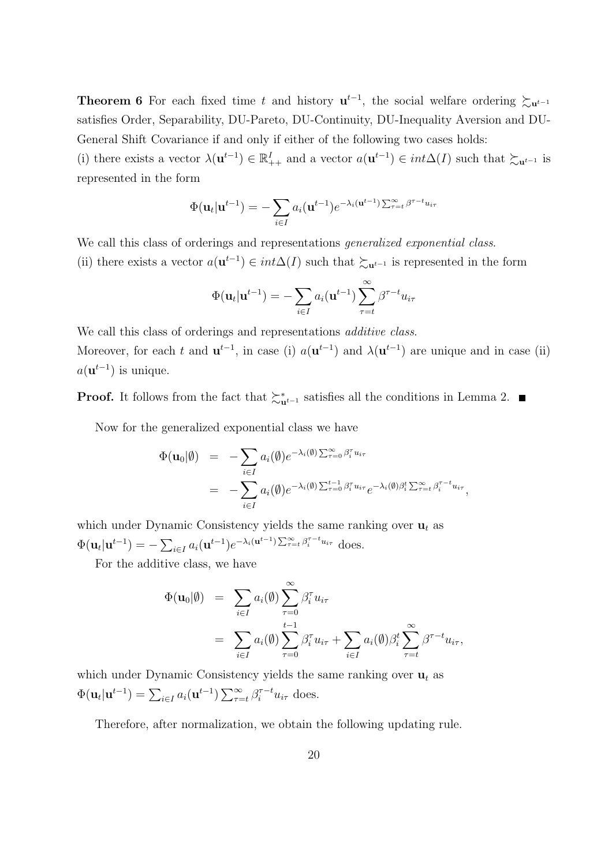**Theorem 6** For each fixed time t and history  $\mathbf{u}^{t-1}$ , the social welfare ordering  $\succsim_{\mathbf{u}^{t-1}}$ satisfies Order, Separability, DU-Pareto, DU-Continuity, DU-Inequality Aversion and DU-General Shift Covariance if and only if either of the following two cases holds:

(i) there exists a vector  $\lambda(\mathbf{u}^{t-1}) \in \mathbb{R}^I_{++}$  and a vector  $a(\mathbf{u}^{t-1}) \in int\Delta(I)$  such that  $\succsim_{\mathbf{u}^{t-1}}$  is represented in the form

$$
\Phi(\mathbf{u}_t|\mathbf{u}^{t-1}) = -\sum_{i \in I} a_i(\mathbf{u}^{t-1})e^{-\lambda_i(\mathbf{u}^{t-1})\sum_{\tau=t}^{\infty} \beta^{\tau-t}u_{i\tau}}
$$

We call this class of orderings and representations *generalized exponential class*.

(ii) there exists a vector  $a(\mathbf{u}^{t-1}) \in int\Delta(I)$  such that  $\succcurlyeq_{\mathbf{u}^{t-1}}$  is represented in the form

$$
\Phi(\mathbf{u}_t|\mathbf{u}^{t-1}) = -\sum_{i \in I} a_i(\mathbf{u}^{t-1}) \sum_{\tau=t}^{\infty} \beta^{\tau-t} u_{i\tau}
$$

We call this class of orderings and representations *additive class*. Moreover, for each t and  $\mathbf{u}^{t-1}$ , in case (i)  $a(\mathbf{u}^{t-1})$  and  $\lambda(\mathbf{u}^{t-1})$  are unique and in case (ii)  $a(\mathbf{u}^{t-1})$  is unique.

**Proof.** It follows from the fact that  $\succ_{\mathbf{u}^{t-1}}^*$  satisfies all the conditions in Lemma 2.

Now for the generalized exponential class we have

$$
\Phi(\mathbf{u}_0|\emptyset) = -\sum_{i \in I} a_i(\emptyset) e^{-\lambda_i(\emptyset) \sum_{\tau=0}^{\infty} \beta_i^{\tau} u_{i\tau}} \n= -\sum_{i \in I} a_i(\emptyset) e^{-\lambda_i(\emptyset) \sum_{\tau=0}^{t-1} \beta_i^{\tau} u_{i\tau}} e^{-\lambda_i(\emptyset) \beta_i^t \sum_{\tau=t}^{\infty} \beta_i^{\tau-t} u_{i\tau}},
$$

which under Dynamic Consistency yields the same ranking over  $\mathbf{u}_t$  as  $\Phi(\mathbf{u}_t|\mathbf{u}^{t-1}) = -\sum_{i \in I} a_i(\mathbf{u}^{t-1})e^{-\lambda_i(\mathbf{u}^{t-1})\sum_{\tau=t}^{\infty} \beta_i^{\tau-t} u_{i\tau}}$  does.

For the additive class, we have

$$
\Phi(\mathbf{u}_0|\emptyset) = \sum_{i \in I} a_i(\emptyset) \sum_{\tau=0}^{\infty} \beta_i^{\tau} u_{i\tau} \n= \sum_{i \in I} a_i(\emptyset) \sum_{\tau=0}^{t-1} \beta_i^{\tau} u_{i\tau} + \sum_{i \in I} a_i(\emptyset) \beta_i^t \sum_{\tau=t}^{\infty} \beta^{\tau-t} u_{i\tau},
$$

which under Dynamic Consistency yields the same ranking over  $\mathbf{u}_t$  as  $\Phi(\mathbf{u}_t|\mathbf{u}^{t-1}) = \sum_{i\in I} a_i(\mathbf{u}^{t-1}) \sum_{\tau=t}^{\infty} \beta_i^{\tau-t} u_{i\tau}$  does.

Therefore, after normalization, we obtain the following updating rule.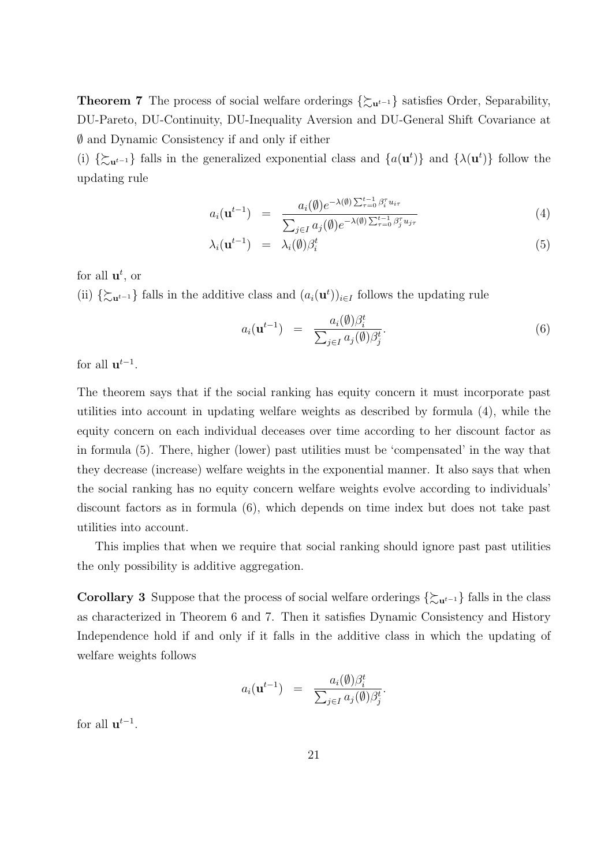**Theorem 7** The process of social welfare orderings  $\{\sum_{u^t-1}\}$  satisfies Order, Separability, DU-Pareto, DU-Continuity, DU-Inequality Aversion and DU-General Shift Covariance at *∅* and Dynamic Consistency if and only if either

(i)  $\{\sum_{u^t-1}$  falls in the generalized exponential class and  $\{a(u^t)\}\$ and  $\{\lambda(u^t)\}\$  follow the updating rule

$$
a_i(\mathbf{u}^{t-1}) = \frac{a_i(\emptyset)e^{-\lambda(\emptyset)\sum_{\tau=0}^{t-1}\beta_i^{\tau}u_{i\tau}}}{\sum_{j\in I}a_j(\emptyset)e^{-\lambda(\emptyset)\sum_{\tau=0}^{t-1}\beta_j^{\tau}u_{j\tau}}}
$$
(4)

$$
\lambda_i(\mathbf{u}^{t-1}) = \lambda_i(\emptyset)\beta_i^t \tag{5}
$$

for all **u** *t* , or

(ii)  $\{\sum_{u} u^{t-1}\}\$  falls in the additive class and  $(a_i(u^t))_{i \in I}$  follows the updating rule

$$
a_i(\mathbf{u}^{t-1}) = \frac{a_i(\emptyset)\beta_i^t}{\sum_{j\in I} a_j(\emptyset)\beta_j^t}.
$$
\n(6)

for all  $\mathbf{u}^{t-1}$ .

The theorem says that if the social ranking has equity concern it must incorporate past utilities into account in updating welfare weights as described by formula (4), while the equity concern on each individual deceases over time according to her discount factor as in formula (5). There, higher (lower) past utilities must be 'compensated' in the way that they decrease (increase) welfare weights in the exponential manner. It also says that when the social ranking has no equity concern welfare weights evolve according to individuals' discount factors as in formula (6), which depends on time index but does not take past utilities into account.

This implies that when we require that social ranking should ignore past past utilities the only possibility is additive aggregation.

**Corollary 3** Suppose that the process of social welfare orderings  $\{\sum_{u} u^{t-1}\}\$  falls in the class as characterized in Theorem 6 and 7. Then it satisfies Dynamic Consistency and History Independence hold if and only if it falls in the additive class in which the updating of welfare weights follows

$$
a_i(\mathbf{u}^{t-1}) = \frac{a_i(\emptyset)\beta_i^t}{\sum_{j\in I} a_j(\emptyset)\beta_j^t}.
$$

for all  $\mathbf{u}^{t-1}$ .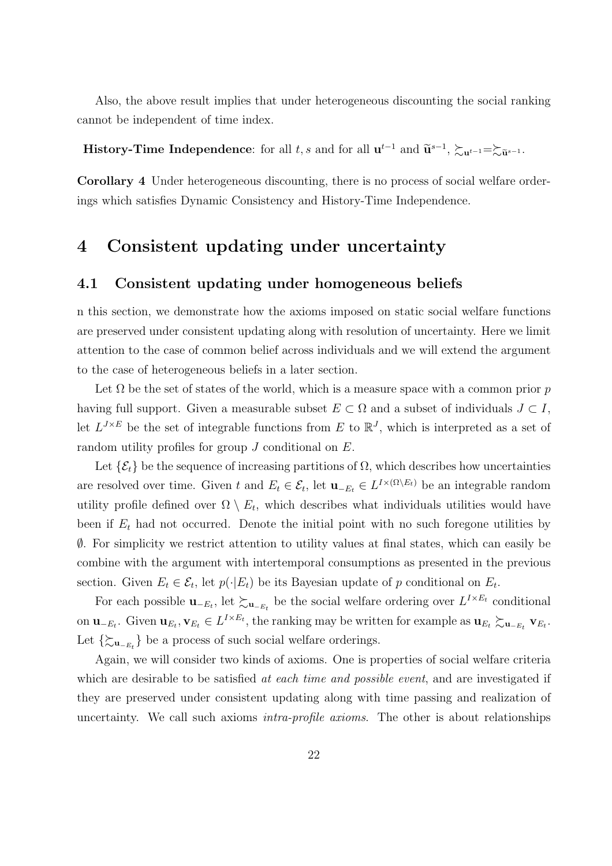Also, the above result implies that under heterogeneous discounting the social ranking cannot be independent of time index.

**History-Time Independence**: for all *t, s* and for all  $\mathbf{u}^{t-1}$  and  $\widetilde{\mathbf{u}}^{s-1}$ ,  $\succsim_{\mathbf{u}^{t-1}} = \succsim_{\widetilde{\mathbf{u}}^{s-1}}$ .

**Corollary 4** Under heterogeneous discounting, there is no process of social welfare orderings which satisfies Dynamic Consistency and History-Time Independence.

## **4 Consistent updating under uncertainty**

## **4.1 Consistent updating under homogeneous beliefs**

n this section, we demonstrate how the axioms imposed on static social welfare functions are preserved under consistent updating along with resolution of uncertainty. Here we limit attention to the case of common belief across individuals and we will extend the argument to the case of heterogeneous beliefs in a later section.

Let  $\Omega$  be the set of states of the world, which is a measure space with a common prior  $p$ having full support. Given a measurable subset  $E \subset \Omega$  and a subset of individuals  $J \subset I$ , let  $L^{J \times E}$  be the set of integrable functions from E to  $\mathbb{R}^{J}$ , which is interpreted as a set of random utility profiles for group *J* conditional on *E*.

Let  $\{\mathcal{E}_t\}$  be the sequence of increasing partitions of  $\Omega$ , which describes how uncertainties are resolved over time. Given *t* and  $E_t \in \mathcal{E}_t$ , let  $\mathbf{u}_{-E_t} \in L^{I \times (\Omega \setminus E_t)}$  be an integrable random utility profile defined over  $\Omega \setminus E_t$ , which describes what individuals utilities would have been if  $E_t$  had not occurred. Denote the initial point with no such foregone utilities by *∅*. For simplicity we restrict attention to utility values at final states, which can easily be combine with the argument with intertemporal consumptions as presented in the previous section. Given  $E_t \in \mathcal{E}_t$ , let  $p(\cdot | E_t)$  be its Bayesian update of *p* conditional on  $E_t$ .

For each possible  $\mathbf{u}_{-E_t}$ , let  $\succsim_{\mathbf{u}_{-E_t}}$  be the social welfare ordering over  $L^{I \times E_t}$  conditional on  $\mathbf{u}_{-E_t}$ . Given  $\mathbf{u}_{E_t}, \mathbf{v}_{E_t} \in L^{I \times E_t}$ , the ranking may be written for example as  $\mathbf{u}_{E_t} \gtrsim_{\mathbf{u}_{-E_t}} \mathbf{v}_{E_t}$ . Let *{*%**<sup>u</sup>***−Et }* be a process of such social welfare orderings.

Again, we will consider two kinds of axioms. One is properties of social welfare criteria which are desirable to be satisfied *at each time and possible event*, and are investigated if they are preserved under consistent updating along with time passing and realization of uncertainty. We call such axioms *intra-profile axioms*. The other is about relationships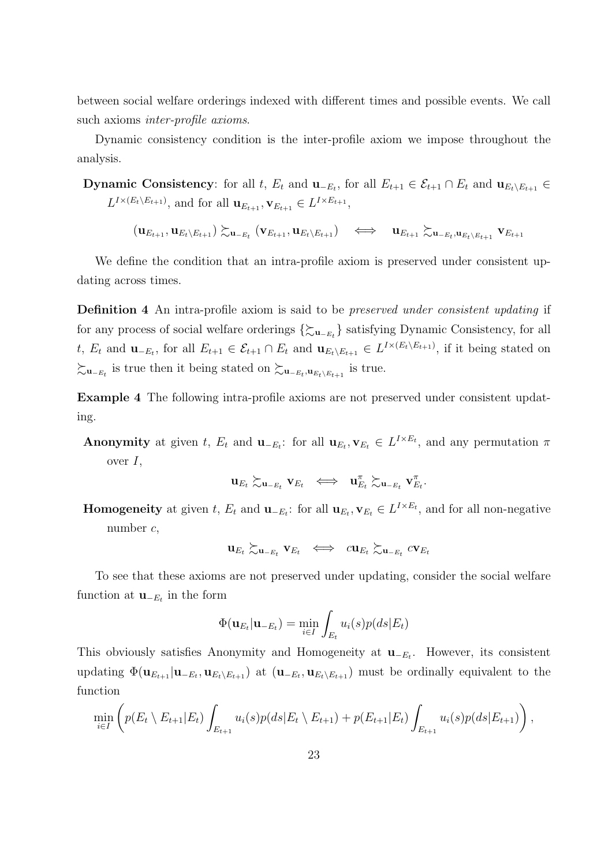between social welfare orderings indexed with different times and possible events. We call such axioms *inter-profile axioms*.

Dynamic consistency condition is the inter-profile axiom we impose throughout the analysis.

**Dynamic Consistency**: for all t,  $E_t$  and  $\mathbf{u}_{-E_t}$ , for all  $E_{t+1} \in \mathcal{E}_{t+1} \cap E_t$  and  $\mathbf{u}_{E_t \setminus E_{t+1}} \in$  $L^{I \times (E_t \setminus E_{t+1})}$ , and for all  $\mathbf{u}_{E_{t+1}}, \mathbf{v}_{E_{t+1}} \in L^{I \times E_{t+1}}$ ,

 $(\mathbf{u}_{E_{t+1}}, \mathbf{u}_{E_{t}\setminus E_{t+1}}) \succsim_{\mathbf{u}_{-E_t}} (\mathbf{v}_{E_{t+1}}, \mathbf{u}_{E_{t}\setminus E_{t+1}}) \quad \Longleftrightarrow \quad \mathbf{u}_{E_{t+1}} \succsim_{\mathbf{u}_{-E_t}, \mathbf{u}_{E_t\setminus E_{t+1}}} \mathbf{v}_{E_{t+1}}$ 

We define the condition that an intra-profile axiom is preserved under consistent updating across times.

**Definition 4** An intra-profile axiom is said to be *preserved under consistent updating* if for any process of social welfare orderings  $\{\sum_{\mathbf{u}_{-E_t}}\}$  satisfying Dynamic Consistency, for all t,  $E_t$  and  $\mathbf{u}_{-E_t}$ , for all  $E_{t+1} \in \mathcal{E}_{t+1} \cap E_t$  and  $\mathbf{u}_{E_t \setminus E_{t+1}} \in L^{I \times (E_t \setminus E_{t+1})}$ , if it being stated on  $\succsim$ **u**<sub>−*Et*</sub></sub> is true then it being stated on  $\succsim$ **u**<sub>−*Et*</sub>,**u**<sub>*E*<sub>t</sub></sub>∖*E*<sub>t+1</sub></sub> is true.

**Example 4** The following intra-profile axioms are not preserved under consistent updating.

**Anonymity** at given t,  $E_t$  and  $\mathbf{u}_{-E_t}$ : for all  $\mathbf{u}_{E_t}, \mathbf{v}_{E_t} \in L^{I \times E_t}$ , and any permutation  $\pi$ over *I*,

$$
\mathbf{u}_{E_t} \succsim_{\mathbf{u}_{-E_t}} \mathbf{v}_{E_t} \ \iff \ \mathbf{u}_{E_t}^\pi \succsim_{\mathbf{u}_{-E_t}} \mathbf{v}_{E_t}^\pi.
$$

**Homogeneity** at given t,  $E_t$  and  $\mathbf{u}_{-E_t}$ : for all  $\mathbf{u}_{E_t}, \mathbf{v}_{E_t} \in L^{I \times E_t}$ , and for all non-negative number *c*,

$$
\mathbf{u}_{E_t} \succsim_{\mathbf{u}_{-E_t}} \mathbf{v}_{E_t} \iff c \mathbf{u}_{E_t} \succsim_{\mathbf{u}_{-E_t}} c \mathbf{v}_{E_t}
$$

To see that these axioms are not preserved under updating, consider the social welfare function at  $\mathbf{u}_{-E_t}$  in the form

$$
\Phi(\mathbf{u}_{E_t}|\mathbf{u}_{-E_t}) = \min_{i \in I} \int_{E_t} u_i(s) p(ds|E_t)
$$

This obviously satisfies Anonymity and Homogeneity at **u***−E<sup>t</sup>* . However, its consistent updating  $\Phi(\mathbf{u}_{E_{t+1}}|\mathbf{u}_{-E_t},\mathbf{u}_{E_t\setminus E_{t+1}})$  at  $(\mathbf{u}_{-E_t},\mathbf{u}_{E_t\setminus E_{t+1}})$  must be ordinally equivalent to the function

$$
\min_{i \in I} \left( p(E_t \setminus E_{t+1} | E_t) \int_{E_{t+1}} u_i(s) p(ds | E_t \setminus E_{t+1}) + p(E_{t+1} | E_t) \int_{E_{t+1}} u_i(s) p(ds | E_{t+1}) \right),
$$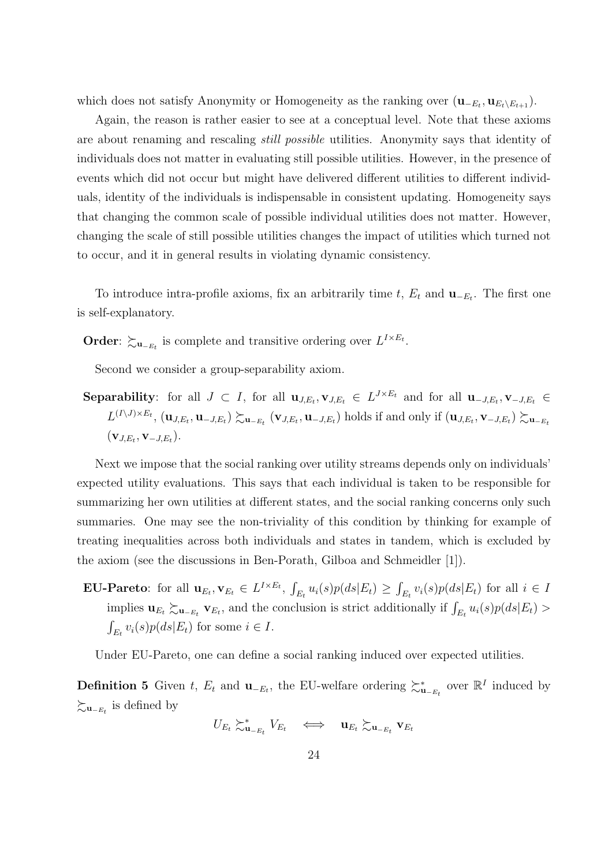which does not satisfy Anonymity or Homogeneity as the ranking over  $(\mathbf{u}_{-E_t}, \mathbf{u}_{E_t \setminus E_{t+1}})$ .

Again, the reason is rather easier to see at a conceptual level. Note that these axioms are about renaming and rescaling *still possible* utilities. Anonymity says that identity of individuals does not matter in evaluating still possible utilities. However, in the presence of events which did not occur but might have delivered different utilities to different individuals, identity of the individuals is indispensable in consistent updating. Homogeneity says that changing the common scale of possible individual utilities does not matter. However, changing the scale of still possible utilities changes the impact of utilities which turned not to occur, and it in general results in violating dynamic consistency.

To introduce intra-profile axioms, fix an arbitrarily time  $t$ ,  $E_t$  and  $\mathbf{u}_{-E_t}$ . The first one is self-explanatory.

**Order**:  $\succsim$ **u**<sub>−*Et*</sub></sub> is complete and transitive ordering over  $L^{I \times E_t}$ .

Second we consider a group-separability axiom.

**Separability**: for all  $J \subset I$ , for all  $\mathbf{u}_{J,E_t}, \mathbf{v}_{J,E_t} \in L^{J \times E_t}$  and for all  $\mathbf{u}_{-J,E_t}, \mathbf{v}_{-J,E_t} \in$  $L^{(I \setminus J) \times E_t}$ ,  $(\mathbf{u}_{J,E_t}, \mathbf{u}_{-J,E_t}) \succsim_{\mathbf{u}_{-E_t}} (\mathbf{v}_{J,E_t}, \mathbf{u}_{-J,E_t})$  holds if and only if  $(\mathbf{u}_{J,E_t}, \mathbf{v}_{-J,E_t}) \succsim_{\mathbf{u}_{-E_t}}$  $(\mathbf{v}_{J,E_t}, \mathbf{v}_{-J,E_t}).$ 

Next we impose that the social ranking over utility streams depends only on individuals' expected utility evaluations. This says that each individual is taken to be responsible for summarizing her own utilities at different states, and the social ranking concerns only such summaries. One may see the non-triviality of this condition by thinking for example of treating inequalities across both individuals and states in tandem, which is excluded by the axiom (see the discussions in Ben-Porath, Gilboa and Schmeidler [1]).

**EU-Pareto**: for all  $\mathbf{u}_{E_t}, \mathbf{v}_{E_t} \in L^{I \times E_t}$ ,  $\int_{E_t} u_i(s)p(ds|E_t) \geq \int_{E_t} v_i(s)p(ds|E_t)$  for all  $i \in I$ implies  $\mathbf{u}_{E_t} \gtrsim_{\mathbf{u}_{-E_t}} \mathbf{v}_{E_t}$ , and the conclusion is strict additionally if  $\int_{E_t} u_i(s)p(ds|E_t) >$  $\int_{E_t} v_i(s) p(ds | E_t)$  for some  $i \in I$ .

Under EU-Pareto, one can define a social ranking induced over expected utilities.

**Definition 5** Given *t*,  $E_t$  and  $\mathbf{u}_{-E_t}$ , the EU-welfare ordering  $\succeq_{\mathbf{u}_{-E_t}}^*$  over  $\mathbb{R}^I$  induced by  $\succsim$ **u**<sub>−*Et*</sub></sub> is defined by

$$
U_{E_t} \succsim^*_{\mathbf{u}_{-E_t}} V_{E_t} \quad \Longleftrightarrow \quad \mathbf{u}_{E_t} \succsim_{\mathbf{u}_{-E_t}} \mathbf{v}_{E_t}
$$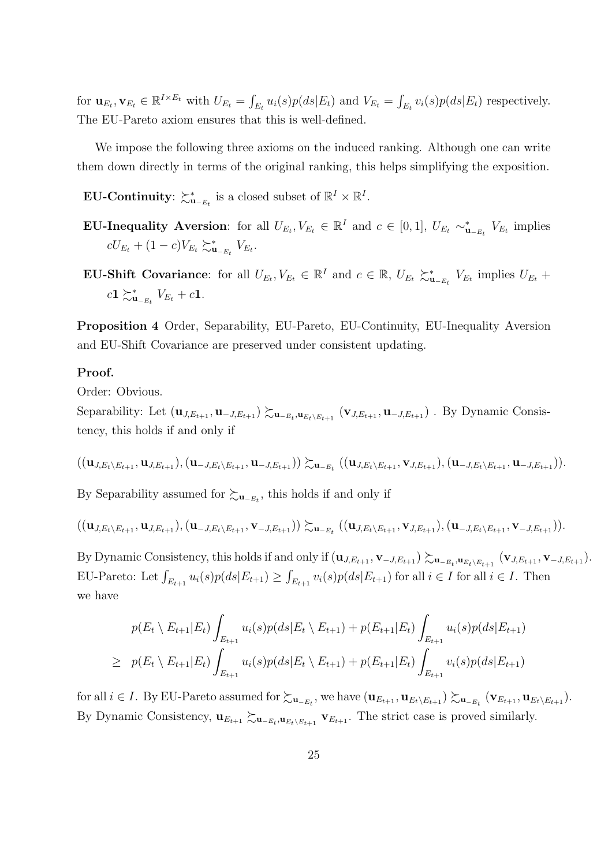for  $\mathbf{u}_{E_t}, \mathbf{v}_{E_t} \in \mathbb{R}^{I \times E_t}$  with  $U_{E_t} = \int_{E_t} u_i(s)p(ds|E_t)$  and  $V_{E_t} = \int_{E_t} v_i(s)p(ds|E_t)$  respectively. The EU-Pareto axiom ensures that this is well-defined.

We impose the following three axioms on the induced ranking. Although one can write them down directly in terms of the original ranking, this helps simplifying the exposition.

**EU-Continuity**:  $\succsim^*_{\mathbf{u}_{-E_t}}$  is a closed subset of  $\mathbb{R}^I \times \mathbb{R}^I$ .

- **EU-Inequality Aversion**: for all  $U_{E_t}, V_{E_t} \in \mathbb{R}^I$  and  $c \in [0,1], U_{E_t} \sim_{\mathbf{u}_{-E_t}}^* V_{E_t}$  implies  $cU_{E_t} + (1 - c)V_{E_t} \succeq_{\mathbf{u}_{-E_t}}^{\mathbf{x}} V_{E_t}.$
- **EU-Shift Covariance**: for all  $U_{E_t}, V_{E_t} \in \mathbb{R}^I$  and  $c \in \mathbb{R}$ ,  $U_{E_t} \succeq_{\mathbf{u}_{-E_t}}^{\mathbf{v}_{-E_t}} V_{E_t}$  implies  $U_{E_t}$  +  $c$ **1**  $\succ_{\mathbf{u}_{-E_t}}^* V_{E_t} + c$ **1**.

**Proposition 4** Order, Separability, EU-Pareto, EU-Continuity, EU-Inequality Aversion and EU-Shift Covariance are preserved under consistent updating.

#### **Proof.**

Order: Obvious.

Separability: Let  $(\mathbf{u}_{J,E_{t+1}},\mathbf{u}_{-J,E_{t+1}})\succsim_{\mathbf{u}_{-E_t},\mathbf{u}_{E_t\setminus E_{t+1}}} (\mathbf{v}_{J,E_{t+1}},\mathbf{u}_{-J,E_{t+1}})$ . By Dynamic Consistency, this holds if and only if

$$
((\mathbf{u}_{J,E_t\setminus E_{t+1}},\mathbf{u}_{J,E_{t+1}}),(\mathbf{u}_{-J,E_t\setminus E_{t+1}},\mathbf{u}_{-J,E_{t+1}}))\succsim_{\mathbf{u}_{-E_t}}((\mathbf{u}_{J,E_t\setminus E_{t+1}},\mathbf{v}_{J,E_{t+1}}),(\mathbf{u}_{-J,E_t\setminus E_{t+1}},\mathbf{u}_{-J,E_{t+1}})).
$$

By Separability assumed for  $\succsim$ **u**<sub>−*Et</sub>*, this holds if and only if</sub>

$$
((\mathbf{u}_{J,E_t\setminus E_{t+1}},\mathbf{u}_{J,E_{t+1}}),(\mathbf{u}_{-J,E_t\setminus E_{t+1}},\mathbf{v}_{-J,E_{t+1}}))\succsim_{\mathbf{u}_{-E_t}}((\mathbf{u}_{J,E_t\setminus E_{t+1}},\mathbf{v}_{J,E_{t+1}}),(\mathbf{u}_{-J,E_t\setminus E_{t+1}},\mathbf{v}_{-J,E_{t+1}})).
$$

By Dynamic Consistency, this holds if and only if  $(\mathbf{u}_{J,E_{t+1}}, \mathbf{v}_{-J,E_{t+1}}) \succsim_{\mathbf{u}_{-E_t}, \mathbf{u}_{E_t \setminus E_{t+1}}} (\mathbf{v}_{J,E_{t+1}}, \mathbf{v}_{-J,E_{t+1}})$ . EU-Pareto: Let  $\int_{E_{t+1}} u_i(s)p(ds|E_{t+1}) \geq \int_{E_{t+1}} v_i(s)p(ds|E_{t+1})$  for all  $i \in I$  for all  $i \in I$ . Then we have

$$
p(E_t \setminus E_{t+1}|E_t) \int_{E_{t+1}} u_i(s)p(ds|E_t \setminus E_{t+1}) + p(E_{t+1}|E_t) \int_{E_{t+1}} u_i(s)p(ds|E_{t+1})
$$
  
\n
$$
\geq p(E_t \setminus E_{t+1}|E_t) \int_{E_{t+1}} u_i(s)p(ds|E_t \setminus E_{t+1}) + p(E_{t+1}|E_t) \int_{E_{t+1}} v_i(s)p(ds|E_{t+1})
$$

for all  $i \in I$ . By EU-Pareto assumed for  $\succsim_{\mathbf{u}_{-E_t}}$ , we have  $(\mathbf{u}_{E_{t+1}}, \mathbf{u}_{E_t \setminus E_{t+1}}) \succsim_{\mathbf{u}_{-E_t}} (\mathbf{v}_{E_{t+1}}, \mathbf{u}_{E_t \setminus E_{t+1}})$ . By Dynamic Consistency,  $\mathbf{u}_{E_{t+1}} \succsim_{\mathbf{u}_{E_t \setminus E_{t+1}}} \mathbf{v}_{E_{t+1}}$ . The strict case is proved similarly.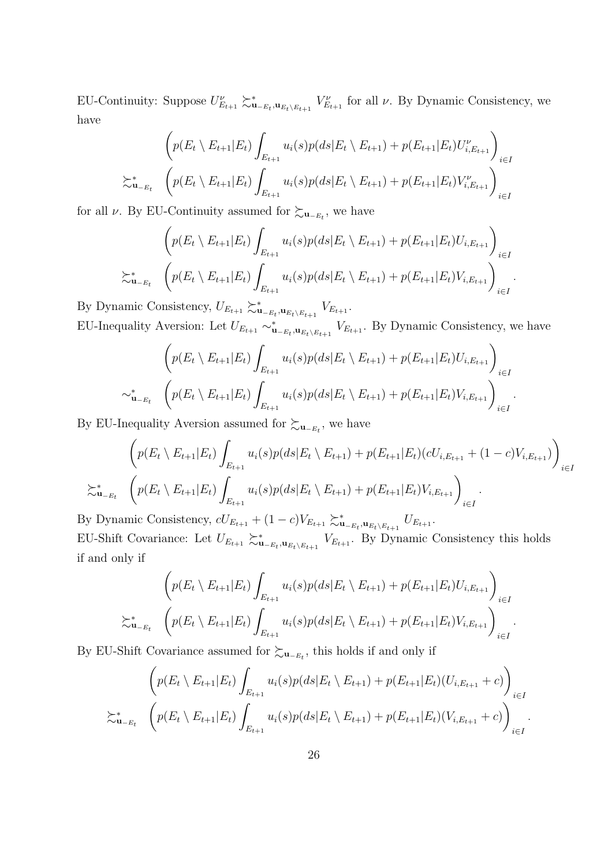EU-Continuity: Suppose  $U_{E_{t+1}}^{\nu} \succ_{\mathbf{u}_{-E_t}, \mathbf{u}_{E_t \setminus E_{t+1}}}^{\nu} V_{E_{t+1}}^{\nu}$  for all  $\nu$ . By Dynamic Consistency, we have

$$
\left(p(E_t \setminus E_{t+1}|E_t) \int_{E_{t+1}} u_i(s)p(ds|E_t \setminus E_{t+1}) + p(E_{t+1}|E_t)U_{i,E_{t+1}}^{\nu}\right)_{i \in I}
$$
  

$$
\sum_{u=E_t}^* \left(p(E_t \setminus E_{t+1}|E_t) \int_{E_{t+1}} u_i(s)p(ds|E_t \setminus E_{t+1}) + p(E_{t+1}|E_t)V_{i,E_{t+1}}^{\nu}\right)_{i \in I}
$$

for all *ν*. By EU-Continuity assumed for  $\succsim_{\mathbf{u}_{-E_t}}$ , we have

$$
\left(p(E_t \setminus E_{t+1}|E_t) \int_{E_{t+1}} u_i(s)p(ds|E_t \setminus E_{t+1}) + p(E_{t+1}|E_t)U_{i,E_{t+1}}\right)_{i \in I}
$$
  

$$
\sum_{u_{-E_t}}^* \left(p(E_t \setminus E_{t+1}|E_t) \int_{E_{t+1}} u_i(s)p(ds|E_t \setminus E_{t+1}) + p(E_{t+1}|E_t)V_{i,E_{t+1}}\right)_{i \in I}
$$

*.*

By Dynamic Consistency,  $U_{E_{t+1}} \succeq_{\mathbf{u}_{-E_t},\mathbf{u}_{E_t \setminus E_{t+1}}} V_{E_{t+1}}$ . EU-Inequality Aversion: Let  $U_{E_{t+1}} \sim_{\mathbf{u}_{-E_t},\mathbf{u}_{E_t\setminus E_{t+1}}}^* V_{E_{t+1}}$ . By Dynamic Consistency, we have

$$
\left(p(E_t \setminus E_{t+1}|E_t) \int_{E_{t+1}} u_i(s)p(ds|E_t \setminus E_{t+1}) + p(E_{t+1}|E_t)U_{i,E_{t+1}}\right)_{i \in I}
$$
  

$$
\sim_{\mathbf{u}_{-E_t}}^* \left(p(E_t \setminus E_{t+1}|E_t) \int_{E_{t+1}} u_i(s)p(ds|E_t \setminus E_{t+1}) + p(E_{t+1}|E_t)V_{i,E_{t+1}}\right)_{i \in I}.
$$

By EU-Inequality Aversion assumed for  $\succsim_{\mathbf{u}_{-E_t}}$ , we have

$$
\left(p(E_t \setminus E_{t+1}|E_t) \int_{E_{t+1}} u_i(s)p(ds|E_t \setminus E_{t+1}) + p(E_{t+1}|E_t)(cU_{i,E_{t+1}} + (1-c)V_{i,E_{t+1}})\right)_{i \in I}
$$
  

$$
\sum_{u_{-E_t}}^* \left(p(E_t \setminus E_{t+1}|E_t) \int_{E_{t+1}} u_i(s)p(ds|E_t \setminus E_{t+1}) + p(E_{t+1}|E_t)V_{i,E_{t+1}}\right)_{i \in I}.
$$

By Dynamic Consistency,  $cU_{E_{t+1}} + (1 - c)V_{E_{t+1}} \gtrsim_{\mathbf{u}_{-E_t}, \mathbf{u}_{E_t \setminus E_{t+1}}} u_{E_{t+1}}$ . EU-Shift Covariance: Let  $U_{E_{t+1}} \succeq_{u_{E_t \setminus E_{t+1}}}^* V_{E_{t+1}}$ . By Dynamic Consistency this holds if and only if

$$
\left(p(E_t \setminus E_{t+1}|E_t) \int_{E_{t+1}} u_i(s)p(ds|E_t \setminus E_{t+1}) + p(E_{t+1}|E_t)U_{i,E_{t+1}}\right)_{i \in I}
$$
\n
$$
\sum_{u_{-E_t}}^* \left(p(E_t \setminus E_{t+1}|E_t) \int_{E_{t+1}} u_i(s)p(ds|E_t \setminus E_{t+1}) + p(E_{t+1}|E_t)V_{i,E_{t+1}}\right)_{i \in I}.
$$

By EU-Shift Covariance assumed for  $\succsim$ **u**<sub>−*Et</sub>*, this holds if and only if</sub>

$$
\left(p(E_t \setminus E_{t+1}|E_t) \int_{E_{t+1}} u_i(s)p(ds|E_t \setminus E_{t+1}) + p(E_{t+1}|E_t)(U_{i,E_{t+1}} + c)\right)_{i \in I}
$$
  

$$
\sum_{u = E_t}^* \left(p(E_t \setminus E_{t+1}|E_t) \int_{E_{t+1}} u_i(s)p(ds|E_t \setminus E_{t+1}) + p(E_{t+1}|E_t)(V_{i,E_{t+1}} + c)\right)_{i \in I}.
$$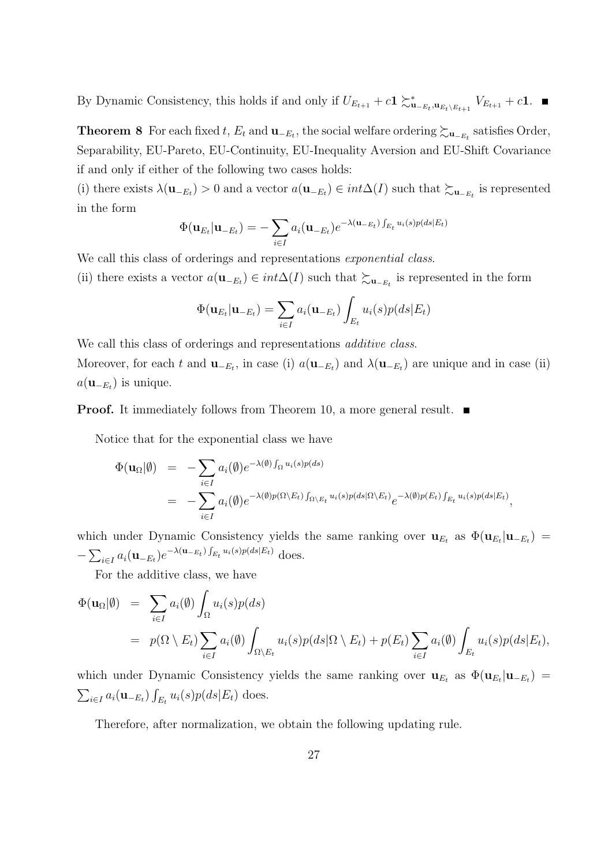By Dynamic Consistency, this holds if and only if  $U_{E_{t+1}} + c \mathbf{1} \succ_{\mathbf{u}_{-E_t},\mathbf{u}_{E_t \setminus E_{t+1}}}^* V_{E_{t+1}} + c \mathbf{1}$ .

**Theorem 8** For each fixed *t*,  $E_t$  and  $\mathbf{u}_{-E_t}$ , the social welfare ordering  $\succsim_{\mathbf{u}_{-E_t}}$  satisfies Order, Separability, EU-Pareto, EU-Continuity, EU-Inequality Aversion and EU-Shift Covariance if and only if either of the following two cases holds:

(i) there exists  $\lambda(\mathbf{u}_{-E_t}) > 0$  and a vector  $a(\mathbf{u}_{-E_t}) \in int\Delta(I)$  such that  $\succsim_{\mathbf{u}_{-E_t}}$  is represented in the form

$$
\Phi(\mathbf{u}_{E_t}|\mathbf{u}_{-E_t}) = -\sum_{i \in I} a_i(\mathbf{u}_{-E_t}) e^{-\lambda(\mathbf{u}_{-E_t}) \int_{E_t} u_i(s)p(ds|E_t)}
$$

We call this class of orderings and representations *exponential class*.

(ii) there exists a vector  $a(\mathbf{u}_{-E_t}) \in int\Delta(I)$  such that  $\succsim_{\mathbf{u}_{-E_t}}$  is represented in the form

$$
\Phi(\mathbf{u}_{E_t}|\mathbf{u}_{-E_t}) = \sum_{i \in I} a_i(\mathbf{u}_{-E_t}) \int_{E_t} u_i(s) p(ds | E_t)
$$

We call this class of orderings and representations *additive class*. Moreover, for each *t* and  $\mathbf{u}_{-E_t}$ , in case (i)  $a(\mathbf{u}_{-E_t})$  and  $\lambda(\mathbf{u}_{-E_t})$  are unique and in case (ii)  $a(\mathbf{u}_{-E_t})$  is unique.

**Proof.** It immediately follows from Theorem 10, a more general result.

Notice that for the exponential class we have

$$
\Phi(\mathbf{u}_{\Omega}|\emptyset) = -\sum_{i \in I} a_i(\emptyset) e^{-\lambda(\emptyset) \int_{\Omega} u_i(s)p(ds)} \n= -\sum_{i \in I} a_i(\emptyset) e^{-\lambda(\emptyset)p(\Omega \setminus E_t) \int_{\Omega \setminus E_t} u_i(s)p(ds|\Omega \setminus E_t)} e^{-\lambda(\emptyset)p(E_t) \int_{E_t} u_i(s)p(ds|E_t)},
$$

which under Dynamic Consistency yields the same ranking over  $\mathbf{u}_{E_t}$  as  $\Phi(\mathbf{u}_{E_t}|\mathbf{u}_{-E_t})$  =  $-\sum_{i \in I} a_i (\mathbf{u}_{-E_t}) e^{-\lambda (\mathbf{u}_{-E_t}) \int_{E_t} u_i(s) p(ds | E_t)}$  does.

For the additive class, we have

$$
\Phi(\mathbf{u}_{\Omega}|\emptyset) = \sum_{i \in I} a_i(\emptyset) \int_{\Omega} u_i(s) p(ds) \n= p(\Omega \setminus E_t) \sum_{i \in I} a_i(\emptyset) \int_{\Omega \setminus E_t} u_i(s) p(ds | \Omega \setminus E_t) + p(E_t) \sum_{i \in I} a_i(\emptyset) \int_{E_t} u_i(s) p(ds | E_t),
$$

which under Dynamic Consistency yields the same ranking over  $\mathbf{u}_{E_t}$  as  $\Phi(\mathbf{u}_{E_t}|\mathbf{u}_{-E_t})$  =  $\sum_{i \in I} a_i(\mathbf{u}_{-E_t}) \int_{E_t} u_i(s) p(ds|E_t)$  does.

Therefore, after normalization, we obtain the following updating rule.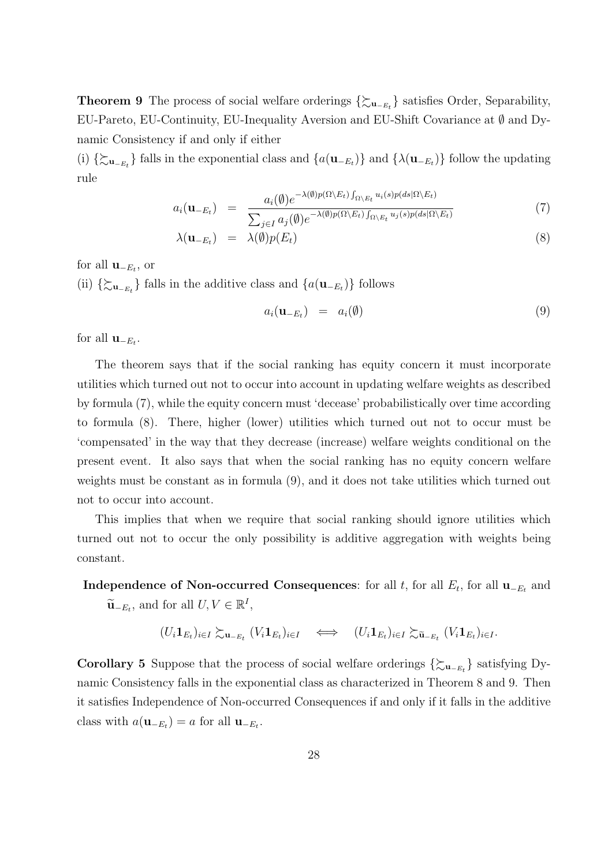**Theorem 9** The process of social welfare orderings *{*%**<sup>u</sup>***−Et }* satisfies Order, Separability, EU-Pareto, EU-Continuity, EU-Inequality Aversion and EU-Shift Covariance at *∅* and Dynamic Consistency if and only if either

(i)  $\{\sum_{\mathbf{u}_{-E_t}}\}$  falls in the exponential class and  $\{a(\mathbf{u}_{-E_t})\}$  and  $\{\lambda(\mathbf{u}_{-E_t})\}$  follow the updating rule

$$
a_i(\mathbf{u}_{-E_t}) = \frac{a_i(\emptyset)e^{-\lambda(\emptyset)p(\Omega\setminus E_t)}\int_{\Omega\setminus E_t} u_i(s)p(ds|\Omega\setminus E_t)}{\sum_{j\in I} a_j(\emptyset)e^{-\lambda(\emptyset)p(\Omega\setminus E_t)}\int_{\Omega\setminus E_t} u_j(s)p(ds|\Omega\setminus E_t)}
$$
(7)

$$
\lambda(\mathbf{u}_{-E_t}) = \lambda(\emptyset) p(E_t) \tag{8}
$$

for all  $\mathbf{u}_{-E_t}$ , or

(ii)  $\{\sum_{\mathbf{u}$ <sup>−*Et*</sup></sub> $\}$  falls in the additive class and  $\{a(\mathbf{u}$ −*Et*<sub>*Et*</sub> $)$ } follows

$$
a_i(\mathbf{u}_{-E_t}) = a_i(\emptyset) \tag{9}
$$

for all  $\mathbf{u}_{-E_t}$ .

The theorem says that if the social ranking has equity concern it must incorporate utilities which turned out not to occur into account in updating welfare weights as described by formula (7), while the equity concern must 'decease' probabilistically over time according to formula (8). There, higher (lower) utilities which turned out not to occur must be 'compensated' in the way that they decrease (increase) welfare weights conditional on the present event. It also says that when the social ranking has no equity concern welfare weights must be constant as in formula (9), and it does not take utilities which turned out not to occur into account.

This implies that when we require that social ranking should ignore utilities which turned out not to occur the only possibility is additive aggregation with weights being constant.

**Independence of Non-occurred Consequences**: for all *t*, for all  $E_t$ , for all  $\mathbf{u}_{-E_t}$  and  $\widetilde{\mathbf{u}}$ <sub>−*E<sub>t</sub>*</sub>, and for all  $U, V \in \mathbb{R}^I$ ,

$$
(U_i \mathbf{1}_{E_t})_{i \in I} \succsim_{\mathbf{u}_{-E_t}} (V_i \mathbf{1}_{E_t})_{i \in I} \iff (U_i \mathbf{1}_{E_t})_{i \in I} \succsim_{\widetilde{\mathbf{u}}_{-E_t}} (V_i \mathbf{1}_{E_t})_{i \in I}.
$$

**Corollary 5** Suppose that the process of social welfare orderings  $\{\sum_{\mathbf{u}_{-E_t}}\}$  satisfying Dynamic Consistency falls in the exponential class as characterized in Theorem 8 and 9. Then it satisfies Independence of Non-occurred Consequences if and only if it falls in the additive class with  $a(\mathbf{u}_{-E_t}) = a$  for all  $\mathbf{u}_{-E_t}$ .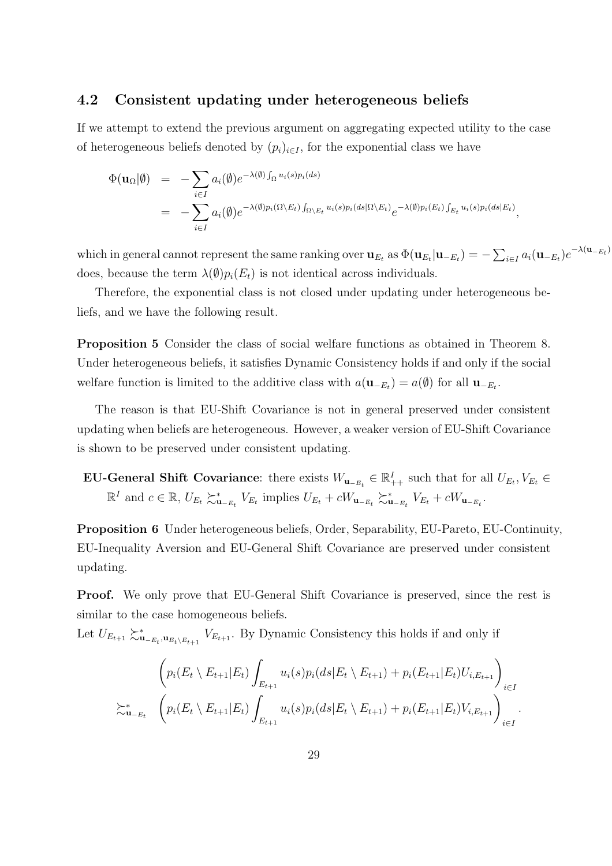#### **4.2 Consistent updating under heterogeneous beliefs**

If we attempt to extend the previous argument on aggregating expected utility to the case of heterogeneous beliefs denoted by  $(p_i)_{i \in I}$ , for the exponential class we have

$$
\Phi(\mathbf{u}_{\Omega}|\emptyset) = -\sum_{i \in I} a_i(\emptyset) e^{-\lambda(\emptyset) \int_{\Omega} u_i(s) p_i(ds)} \n= -\sum_{i \in I} a_i(\emptyset) e^{-\lambda(\emptyset) p_i(\Omega \setminus E_t) \int_{\Omega \setminus E_t} u_i(s) p_i(ds) \Omega \setminus E_t} e^{-\lambda(\emptyset) p_i(E_t) \int_{E_t} u_i(s) p_i(ds) E_t},
$$

which in general cannot represent the same ranking over  $\mathbf{u}_{E_t}$  as  $\Phi(\mathbf{u}_{E_t}|\mathbf{u}_{-E_t}) = -\sum_{i \in I} a_i(\mathbf{u}_{-E_t}) e^{-\lambda(\mathbf{u}_{-E_t})}$ does, because the term  $\lambda(\emptyset)p_i(E_t)$  is not identical across individuals.

Therefore, the exponential class is not closed under updating under heterogeneous beliefs, and we have the following result.

**Proposition 5** Consider the class of social welfare functions as obtained in Theorem 8. Under heterogeneous beliefs, it satisfies Dynamic Consistency holds if and only if the social welfare function is limited to the additive class with  $a(\mathbf{u}_{-E_t}) = a(\emptyset)$  for all  $\mathbf{u}_{-E_t}$ .

The reason is that EU-Shift Covariance is not in general preserved under consistent updating when beliefs are heterogeneous. However, a weaker version of EU-Shift Covariance is shown to be preserved under consistent updating.

**EU-General Shift Covariance**: there exists  $W_{\mathbf{u}_{-E_t}} \in \mathbb{R}^I_{++}$  such that for all  $U_{E_t}, V_{E_t} \in$  $\mathbb{R}^I$  and  $c \in \mathbb{R}$ ,  $U_{E_t} \succeq_{\mathbf{u}_{-E_t}}^{\mathbf{*}} V_{E_t}$  implies  $U_{E_t} + cW_{\mathbf{u}_{-E_t}} \succeq_{\mathbf{u}_{-E_t}}^{\mathbf{*}} V_{E_t} + cW_{\mathbf{u}_{-E_t}}$ .

**Proposition 6** Under heterogeneous beliefs, Order, Separability, EU-Pareto, EU-Continuity, EU-Inequality Aversion and EU-General Shift Covariance are preserved under consistent updating.

**Proof.** We only prove that EU-General Shift Covariance is preserved, since the rest is similar to the case homogeneous beliefs.

Let  $U_{E_{t+1}} \succeq_{\mathbf{u}_{-E_t}, \mathbf{u}_{E_t \setminus E_{t+1}}}^{\infty} V_{E_{t+1}}$ . By Dynamic Consistency this holds if and only if

$$
\left(p_i(E_t \setminus E_{t+1}|E_t) \int_{E_{t+1}} u_i(s)p_i(ds|E_t \setminus E_{t+1}) + p_i(E_{t+1}|E_t)U_{i,E_{t+1}}\right)_{i \in I}
$$
  

$$
\sum_{u=E_t}^* \left(p_i(E_t \setminus E_{t+1}|E_t) \int_{E_{t+1}} u_i(s)p_i(ds|E_t \setminus E_{t+1}) + p_i(E_{t+1}|E_t)V_{i,E_{t+1}}\right)_{i \in I}.
$$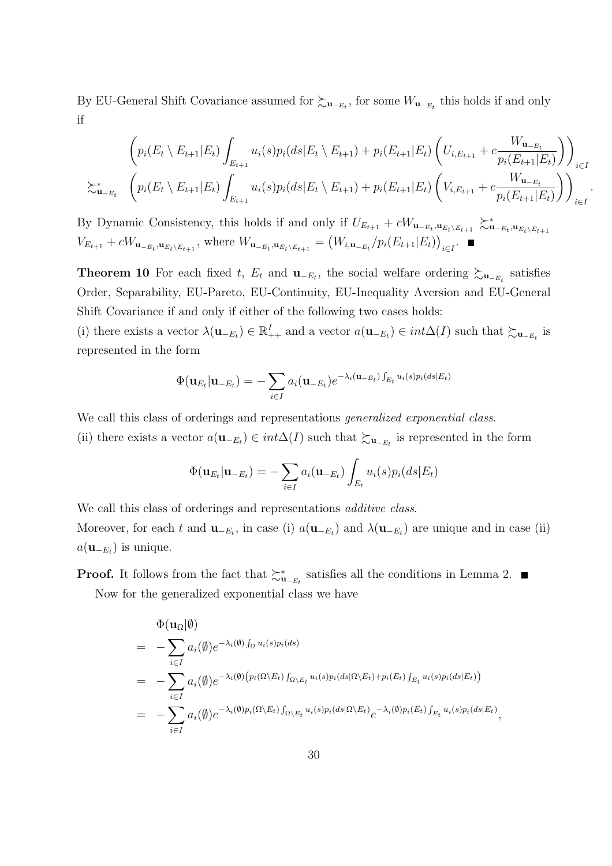By EU-General Shift Covariance assumed for  $\succsim_{\mathbf{u}_{-E_t}}$ , for some  $W_{\mathbf{u}_{-E_t}}$  this holds if and only if

$$
\left(p_i(E_t \setminus E_{t+1}|E_t) \int_{E_{t+1}} u_i(s)p_i(ds|E_t \setminus E_{t+1}) + p_i(E_{t+1}|E_t) \left(U_{i,E_{t+1}} + c \frac{W_{\mathbf{u}_{-E_t}}}{p_i(E_{t+1}|E_t)}\right)\right)_{i \in I}
$$
\n
$$
\sum_{\mathbf{u}_{-E_t}}^* \left(p_i(E_t \setminus E_{t+1}|E_t) \int_{E_{t+1}} u_i(s)p_i(ds|E_t \setminus E_{t+1}) + p_i(E_{t+1}|E_t) \left(V_{i,E_{t+1}} + c \frac{W_{\mathbf{u}_{-E_t}}}{p_i(E_{t+1}|E_t)}\right)\right)_{i \in I}
$$

*.*

By Dynamic Consistency, this holds if and only if  $U_{E_{t+1}} + cW_{\mathbf{u}_{-E_t},\mathbf{u}_{E_t\setminus E_{t+1}}} \gtrsim_{\mathbf{u}_{-E_t},\mathbf{u}_{E_t\setminus E_{t+1}}}^{\infty}$  $V_{E_{t+1}} + cW_{\mathbf{u}_{-E_t},\mathbf{u}_{E_t \setminus E_{t+1}}}$ , where  $W_{\mathbf{u}_{-E_t},\mathbf{u}_{E_t \setminus E_{t+1}}} = (W_{i,\mathbf{u}_{-E_t}}/p_i(E_{t+1}|E_t))_{i \in I}$ .

**Theorem 10** For each fixed *t*,  $E_t$  and  $\mathbf{u}_{-E_t}$ , the social welfare ordering  $\succsim_{\mathbf{u}_{-E_t}}$  satisfies Order, Separability, EU-Pareto, EU-Continuity, EU-Inequality Aversion and EU-General Shift Covariance if and only if either of the following two cases holds:

(i) there exists a vector  $\lambda(\mathbf{u}_{-E_t}) \in \mathbb{R}^I_{++}$  and a vector  $a(\mathbf{u}_{-E_t}) \in int\Delta(I)$  such that  $\succsim_{\mathbf{u}_{-E_t}}$  is represented in the form

$$
\Phi(\mathbf{u}_{E_t}|\mathbf{u}_{-E_t}) = -\sum_{i \in I} a_i(\mathbf{u}_{-E_t}) e^{-\lambda_i(\mathbf{u}_{-E_t}) \int_{E_t} u_i(s) p_i(ds) E_t}
$$

We call this class of orderings and representations *generalized exponential class*.

(ii) there exists a vector  $a(\mathbf{u}_{-E_t}) \in int\Delta(I)$  such that  $\succsim_{\mathbf{u}_{-E_t}}$  is represented in the form

$$
\Phi(\mathbf{u}_{E_t}|\mathbf{u}_{-E_t}) = -\sum_{i \in I} a_i(\mathbf{u}_{-E_t}) \int_{E_t} u_i(s) p_i(ds|E_t)
$$

We call this class of orderings and representations *additive class*. Moreover, for each *t* and  $\mathbf{u}_{-E_t}$ , in case (i)  $a(\mathbf{u}_{-E_t})$  and  $\lambda(\mathbf{u}_{-E_t})$  are unique and in case (ii)  $a(\mathbf{u}_{-E_t})$  is unique.

**Proof.** It follows from the fact that  $\succ_{\mathbf{u}_{-E_t}}^*$  satisfies all the conditions in Lemma 2. Now for the generalized exponential class we have

$$
\Phi(\mathbf{u}_{\Omega}|\emptyset) = -\sum_{i\in I} a_i(\emptyset) e^{-\lambda_i(\emptyset)} \int_{\Omega} u_i(s) p_i(ds) \n= -\sum_{i\in I} a_i(\emptyset) e^{-\lambda_i(\emptyset)} (p_i(\Omega \backslash E_t) \int_{\Omega \backslash E_t} u_i(s) p_i(ds|\Omega \backslash E_t) + p_i(E_t) \int_{E_t} u_i(s) p_i(ds|E_t)) \n= -\sum_{i\in I} a_i(\emptyset) e^{-\lambda_i(\emptyset) p_i(\Omega \backslash E_t)} \int_{\Omega \backslash E_t} u_i(s) p_i(ds|\Omega \backslash E_t) e^{-\lambda_i(\emptyset) p_i(E_t)} \int_{E_t} u_i(s) p_i(ds|E_t),
$$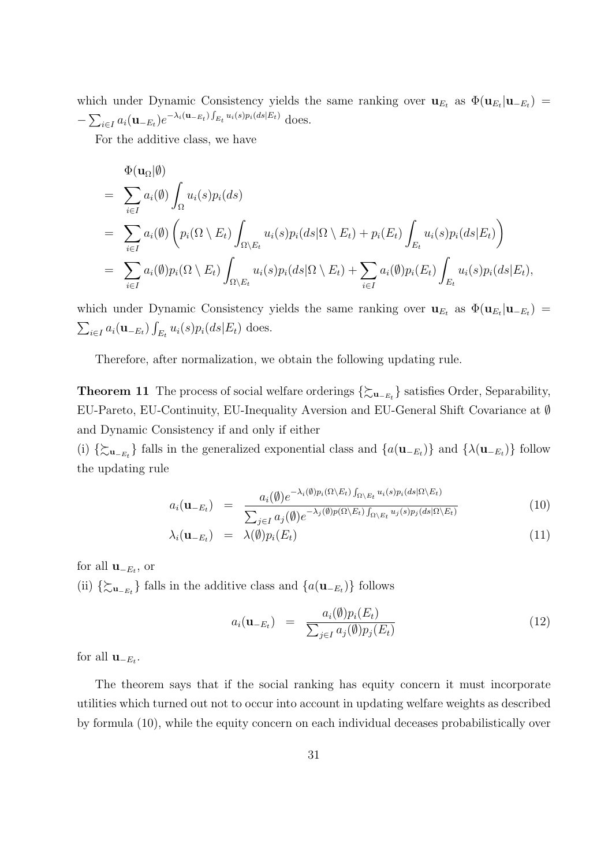which under Dynamic Consistency yields the same ranking over  $\mathbf{u}_{E_t}$  as  $\Phi(\mathbf{u}_{E_t}|\mathbf{u}_{-E_t})$  =  $-\sum_{i\in I} a_i (\mathbf{u}_{-E_t}) e^{-\lambda_i (\mathbf{u}_{-E_t}) \int_{E_t} u_i(s) p_i(ds) E_t)}$  does.

For the additive class, we have

$$
\Phi(\mathbf{u}_{\Omega}|\emptyset) = \sum_{i\in I} a_i(\emptyset) \int_{\Omega} u_i(s) p_i(ds) \n= \sum_{i\in I} a_i(\emptyset) \left( p_i(\Omega \setminus E_t) \int_{\Omega \setminus E_t} u_i(s) p_i(ds) \Omega \setminus E_t) + p_i(E_t) \int_{E_t} u_i(s) p_i(ds) E_t) \right) \n= \sum_{i\in I} a_i(\emptyset) p_i(\Omega \setminus E_t) \int_{\Omega \setminus E_t} u_i(s) p_i(ds) \Omega \setminus E_t) + \sum_{i\in I} a_i(\emptyset) p_i(E_t) \int_{E_t} u_i(s) p_i(ds) E_t),
$$

which under Dynamic Consistency yields the same ranking over  $\mathbf{u}_{E_t}$  as  $\Phi(\mathbf{u}_{E_t}|\mathbf{u}_{-E_t})$  =  $\sum_{i \in I} a_i(\mathbf{u}_{-E_t}) \int_{E_t} u_i(s) p_i(ds|E_t)$  does.

Therefore, after normalization, we obtain the following updating rule.

**Theorem 11** The process of social welfare orderings *{*%**<sup>u</sup>***−Et }* satisfies Order, Separability, EU-Pareto, EU-Continuity, EU-Inequality Aversion and EU-General Shift Covariance at *∅* and Dynamic Consistency if and only if either

(i)  $\{\sum_{\mathbf{u}_{-E_t}}\}$  falls in the generalized exponential class and  $\{a(\mathbf{u}_{-E_t})\}$  and  $\{\lambda(\mathbf{u}_{-E_t})\}$  follow the updating rule

$$
a_i(\mathbf{u}_{-E_t}) = \frac{a_i(\emptyset)e^{-\lambda_i(\emptyset)p_i(\Omega \setminus E_t)}\int_{\Omega \setminus E_t} u_i(s)p_i(ds|\Omega \setminus E_t)}{\sum_{j \in I} a_j(\emptyset)e^{-\lambda_j(\emptyset)p_i(\Omega \setminus E_t)}\int_{\Omega \setminus E_t} u_j(s)p_j(ds|\Omega \setminus E_t)}
$$
(10)

$$
\lambda_i(\mathbf{u}_{-E_t}) = \lambda(\emptyset) p_i(E_t) \tag{11}
$$

for all  $\mathbf{u}_{-E_t}$ , or (ii)  $\{\sum_{\mathbf{u}_{-E_t}}\}$  falls in the additive class and  $\{a(\mathbf{u}_{-E_t})\}$  follows

$$
a_i(\mathbf{u}_{-E_t}) = \frac{a_i(\emptyset)p_i(E_t)}{\sum_{j\in I} a_j(\emptyset)p_j(E_t)}
$$
(12)

for all  $\mathbf{u}_{-E_t}$ .

The theorem says that if the social ranking has equity concern it must incorporate utilities which turned out not to occur into account in updating welfare weights as described by formula (10), while the equity concern on each individual deceases probabilistically over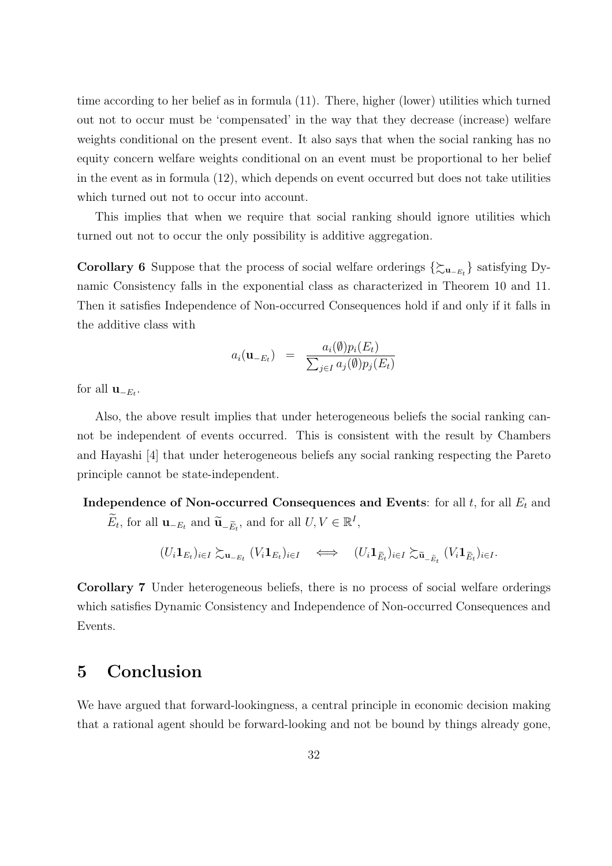time according to her belief as in formula (11). There, higher (lower) utilities which turned out not to occur must be 'compensated' in the way that they decrease (increase) welfare weights conditional on the present event. It also says that when the social ranking has no equity concern welfare weights conditional on an event must be proportional to her belief in the event as in formula (12), which depends on event occurred but does not take utilities which turned out not to occur into account.

This implies that when we require that social ranking should ignore utilities which turned out not to occur the only possibility is additive aggregation.

**Corollary 6** Suppose that the process of social welfare orderings  $\{\sum_{u_{-E_t}}\}$  satisfying Dynamic Consistency falls in the exponential class as characterized in Theorem 10 and 11. Then it satisfies Independence of Non-occurred Consequences hold if and only if it falls in the additive class with

$$
a_i(\mathbf{u}_{-E_t}) = \frac{a_i(\emptyset)p_i(E_t)}{\sum_{j\in I} a_j(\emptyset)p_j(E_t)}
$$

for all  $\mathbf{u}_{-E_t}$ .

Also, the above result implies that under heterogeneous beliefs the social ranking cannot be independent of events occurred. This is consistent with the result by Chambers and Hayashi [4] that under heterogeneous beliefs any social ranking respecting the Pareto principle cannot be state-independent.

**Independence of Non-occurred Consequences and Events**: for all *t*, for all *E<sup>t</sup>* and  $\widetilde{E}_t$ , for all **u**<sub>*−Et</sub>* and  $\widetilde{\mathbf{u}}$ <sub>*−Ēt*</sub></sub>, and for all  $U, V \in \mathbb{R}^I$ ,

$$
(U_i \mathbf{1}_{E_t})_{i \in I} \succsim_{\mathbf{u}_{-E_t}} (V_i \mathbf{1}_{E_t})_{i \in I} \iff (U_i \mathbf{1}_{\widetilde{E}_t})_{i \in I} \succsim_{\widetilde{\mathbf{u}}_{-\widetilde{E}_t}} (V_i \mathbf{1}_{\widetilde{E}_t})_{i \in I}.
$$

**Corollary 7** Under heterogeneous beliefs, there is no process of social welfare orderings which satisfies Dynamic Consistency and Independence of Non-occurred Consequences and Events.

# **5 Conclusion**

We have argued that forward-lookingness, a central principle in economic decision making that a rational agent should be forward-looking and not be bound by things already gone,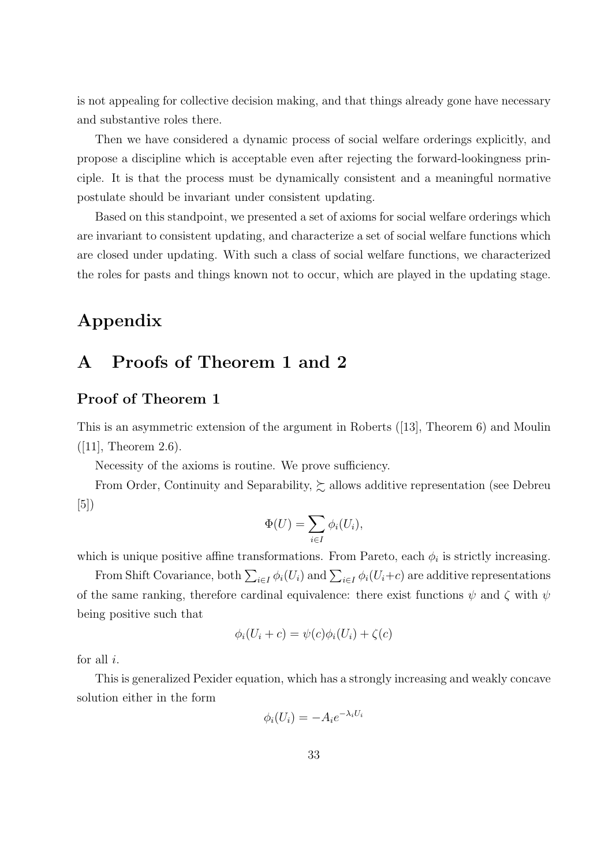is not appealing for collective decision making, and that things already gone have necessary and substantive roles there.

Then we have considered a dynamic process of social welfare orderings explicitly, and propose a discipline which is acceptable even after rejecting the forward-lookingness principle. It is that the process must be dynamically consistent and a meaningful normative postulate should be invariant under consistent updating.

Based on this standpoint, we presented a set of axioms for social welfare orderings which are invariant to consistent updating, and characterize a set of social welfare functions which are closed under updating. With such a class of social welfare functions, we characterized the roles for pasts and things known not to occur, which are played in the updating stage.

# **Appendix**

## **A Proofs of Theorem 1 and 2**

## **Proof of Theorem 1**

This is an asymmetric extension of the argument in Roberts ([13], Theorem 6) and Moulin  $([11],$  Theorem 2.6).

Necessity of the axioms is routine. We prove sufficiency.

From Order, Continuity and Separability,  $\succsim$  allows additive representation (see Debreu [5])

$$
\Phi(U) = \sum_{i \in I} \phi_i(U_i),
$$

which is unique positive affine transformations. From Pareto, each  $\phi_i$  is strictly increasing.

From Shift Covariance, both  $\sum_{i\in I}\phi_i(U_i)$  and  $\sum_{i\in I}\phi_i(U_i+c)$  are additive representations of the same ranking, therefore cardinal equivalence: there exist functions  $\psi$  and  $\zeta$  with  $\psi$ being positive such that

$$
\phi_i(U_i + c) = \psi(c)\phi_i(U_i) + \zeta(c)
$$

for all *i*.

This is generalized Pexider equation, which has a strongly increasing and weakly concave solution either in the form

$$
\phi_i(U_i) = -A_i e^{-\lambda_i U_i}
$$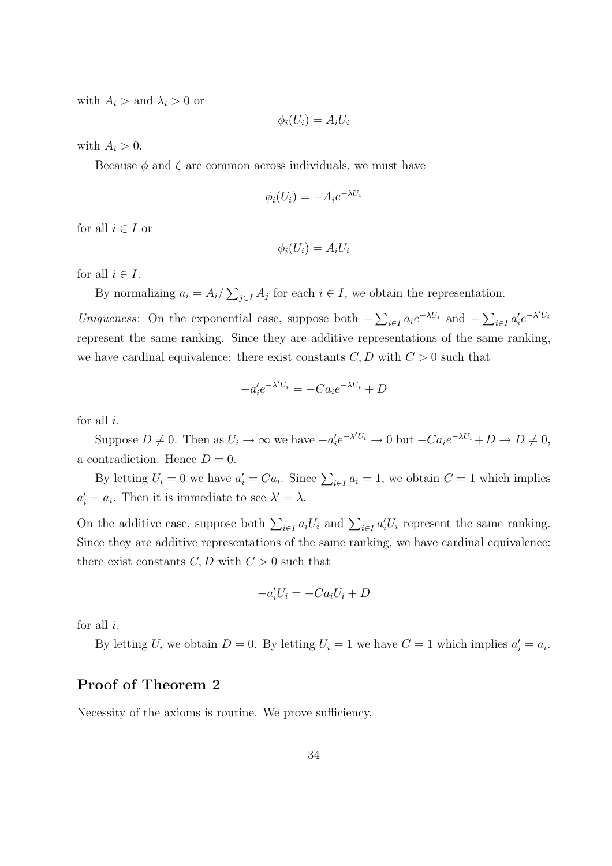with  $A_i >$  and  $\lambda_i > 0$  or

$$
\phi_i(U_i) = A_i U_i
$$

with  $A_i > 0$ .

Because  $\phi$  and  $\zeta$  are common across individuals, we must have

$$
\phi_i(U_i) = -A_i e^{-\lambda U_i}
$$

for all  $i \in I$  or

$$
\phi_i(U_i) = A_i U_i
$$

for all  $i \in I$ .

By normalizing  $a_i = A_i / \sum_{j \in I} A_j$  for each  $i \in I$ , we obtain the representation.

Uniqueness: On the exponential case, suppose both  $-\sum_{i\in I} a_i e^{-\lambda U_i}$  and  $-\sum_{i\in I} a'_i e^{-\lambda' U_i}$ represent the same ranking. Since they are additive representations of the same ranking, we have cardinal equivalence: there exist constants  $C, D$  with  $C > 0$  such that

$$
-a_i' e^{-\lambda' U_i} = -C a_i e^{-\lambda U_i} + D
$$

for all *i*.

Suppose  $D \neq 0$ . Then as  $U_i \to \infty$  we have  $-a'_i e^{-\lambda' U_i} \to 0$  but  $-Ca_i e^{-\lambda U_i} + D \to D \neq 0$ , a contradiction. Hence  $D=0$ .

By letting  $U_i = 0$  we have  $a'_i = Ca_i$ . Since  $\sum_{i \in I} a_i = 1$ , we obtain  $C = 1$  which implies  $a'_i = a_i$ . Then it is immediate to see  $\lambda' = \lambda$ .

On the additive case, suppose both  $\sum_{i \in I} a_i U_i$  and  $\sum_{i \in I} a'_i U_i$  represent the same ranking. Since they are additive representations of the same ranking, we have cardinal equivalence: there exist constants  $C, D$  with  $C > 0$  such that

$$
-a_i'U_i = -Ca_iU_i + D
$$

for all *i*.

By letting  $U_i$  we obtain  $D = 0$ . By letting  $U_i = 1$  we have  $C = 1$  which implies  $a'_i = a_i$ .

## **Proof of Theorem 2**

Necessity of the axioms is routine. We prove sufficiency.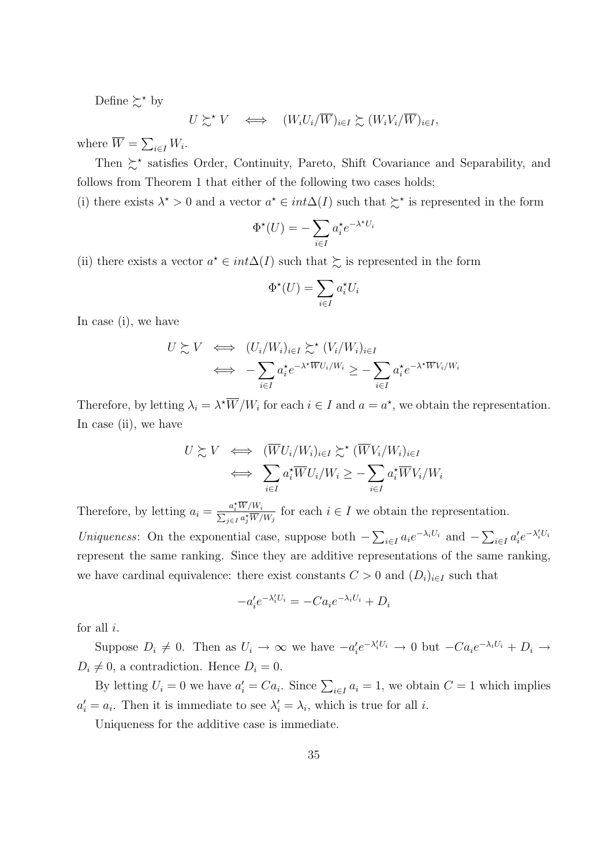Define  $\succsim^*$  by

$$
U \succsim^{\star} V \quad \Longleftrightarrow \quad (W_i U_i / \overline{W})_{i \in I} \succsim (W_i V_i / \overline{W})_{i \in I},
$$

where  $\overline{W} = \sum_{i \in I} W_i$ .

Then  $\zeta^*$  satisfies Order, Continuity, Pareto, Shift Covariance and Separability, and follows from Theorem 1 that either of the following two cases holds;

(i) there exists  $\lambda^* > 0$  and a vector  $a^* \in int \Delta(I)$  such that  $\succeq^*$  is represented in the form

$$
\Phi^{\star}(U) = -\sum_{i \in I} a_i^{\star} e^{-\lambda^{\star} U_i}
$$

(ii) there exists a vector  $a^* \in int\Delta(I)$  such that  $\succeq$  is represented in the form

$$
\Phi^{\star}(U) = \sum_{i \in I} a_i^{\star} U_i
$$

In case (i), we have

$$
U \succsim V \iff (U_i/W_i)_{i \in I} \succsim^*(V_i/W_i)_{i \in I}
$$
  

$$
\iff -\sum_{i \in I} a_i^* e^{-\lambda^* \overline{W} U_i/W_i} \ge -\sum_{i \in I} a_i^* e^{-\lambda^* \overline{W} V_i/W_i}
$$

Therefore, by letting  $\lambda_i = \lambda^* \overline{W}/W_i$  for each  $i \in I$  and  $a = a^*$ , we obtain the representation. In case (ii), we have

$$
U \succsim V \iff (\overline{W}U_i/W_i)_{i \in I} \succsim^{\star} (\overline{W}V_i/W_i)_{i \in I}
$$

$$
\iff \sum_{i \in I} a_i^{\star} \overline{W}U_i/W_i \geq -\sum_{i \in I} a_i^{\star} \overline{W}V_i/W_i
$$

Therefore, by letting  $a_i = \frac{a_i^* \overline{W}/W_i}{\sum_{j \in I} a_j^* \overline{W}/W_j}$  for each  $i \in I$  we obtain the representation.

Uniqueness: On the exponential case, suppose both  $-\sum_{i\in I} a_i e^{-\lambda_i U_i}$  and  $-\sum_{i\in I} a'_i e^{-\lambda'_i U_i}$ represent the same ranking. Since they are additive representations of the same ranking, we have cardinal equivalence: there exist constants  $C > 0$  and  $(D_i)_{i \in I}$  such that

$$
-a_i' e^{-\lambda_i' U_i} = -C a_i e^{-\lambda_i U_i} + D_i
$$

for all *i*.

Suppose  $D_i \neq 0$ . Then as  $U_i \to \infty$  we have  $-a'_i e^{-\lambda'_i U_i} \to 0$  but  $-Ca_i e^{-\lambda_i U_i} + D_i \to$  $D_i \neq 0$ , a contradiction. Hence  $D_i = 0$ .

By letting  $U_i = 0$  we have  $a'_i = Ca_i$ . Since  $\sum_{i \in I} a_i = 1$ , we obtain  $C = 1$  which implies  $a'_i = a_i$ . Then it is immediate to see  $\lambda'_i = \lambda_i$ , which is true for all *i*.

Uniqueness for the additive case is immediate.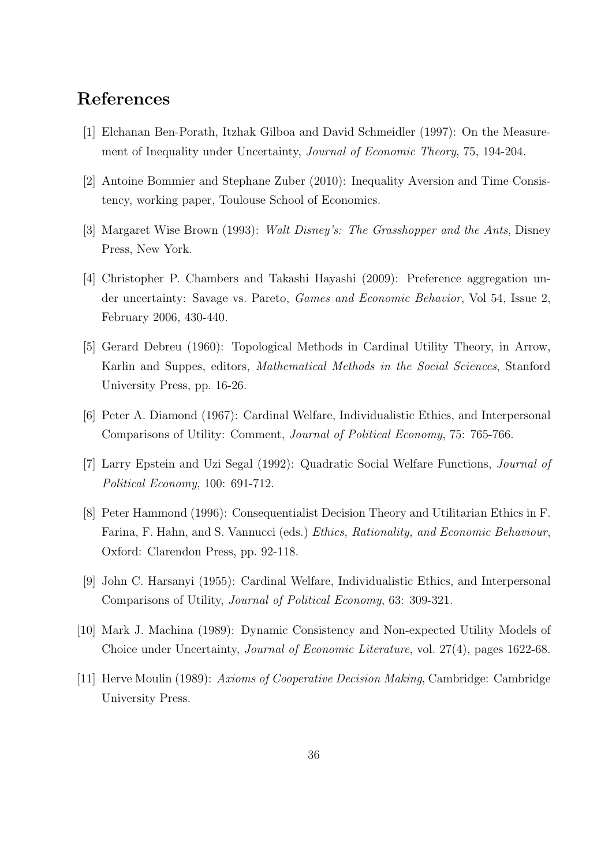## **References**

- [1] Elchanan Ben-Porath, Itzhak Gilboa and David Schmeidler (1997): On the Measurement of Inequality under Uncertainty, *Journal of Economic Theory*, 75, 194-204.
- [2] Antoine Bommier and Stephane Zuber (2010): Inequality Aversion and Time Consistency, working paper, Toulouse School of Economics.
- [3] Margaret Wise Brown (1993): *Walt Disney's: The Grasshopper and the Ants*, Disney Press, New York.
- [4] Christopher P. Chambers and Takashi Hayashi (2009): Preference aggregation under uncertainty: Savage vs. Pareto, *Games and Economic Behavior*, Vol 54, Issue 2, February 2006, 430-440.
- [5] Gerard Debreu (1960): Topological Methods in Cardinal Utility Theory, in Arrow, Karlin and Suppes, editors, *Mathematical Methods in the Social Sciences*, Stanford University Press, pp. 16-26.
- [6] Peter A. Diamond (1967): Cardinal Welfare, Individualistic Ethics, and Interpersonal Comparisons of Utility: Comment, *Journal of Political Economy*, 75: 765-766.
- [7] Larry Epstein and Uzi Segal (1992): Quadratic Social Welfare Functions, *Journal of Political Economy*, 100: 691-712.
- [8] Peter Hammond (1996): Consequentialist Decision Theory and Utilitarian Ethics in F. Farina, F. Hahn, and S. Vannucci (eds.) *Ethics, Rationality, and Economic Behaviour*, Oxford: Clarendon Press, pp. 92-118.
- [9] John C. Harsanyi (1955): Cardinal Welfare, Individualistic Ethics, and Interpersonal Comparisons of Utility, *Journal of Political Economy*, 63: 309-321.
- [10] Mark J. Machina (1989): Dynamic Consistency and Non-expected Utility Models of Choice under Uncertainty, *Journal of Economic Literature*, vol. 27(4), pages 1622-68.
- [11] Herve Moulin (1989): *Axioms of Cooperative Decision Making*, Cambridge: Cambridge University Press.